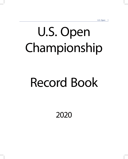# U.S. Open Championship

# Record Book

2020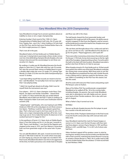# Gary Woodland Wins the 2019 Championship

Gary Woodland no longer has to answer questions about an inability to close or win a major championship.

Entering Sunday's final round of the 119th U.S. Open Championship at Pebble Beach Golf Links, the 35-year-old from Topeka, Kan., was 0-for-7 when holding a 54-hole lead on the PGA Tour, and he had never finished better than a tie for 23rd in eight previous U.S. Opens.

That's now all in the past.

Woodland holed a 30-foot birdie putt on Pebble Beach's iconic par-5 closing hole to punctuate a three-stroke victory over two-time defending champion Brooks Koepka, who was trying to become just the second player to win three consecutive U.S. Opens.

By carding a 2-under-par 69, Woodland became the fourth player to claim the U.S. Open title with four sub-70 rounds. He's also the second Open winner at Pebble Beach to post a double-digit under-par score (13-under 271), joining Tiger Woods (12-under 272) who won the 2000 championship by a record 15 strokes.

"I just kept telling myself that records are meant to be broken," said Woodland. "I'm [actually] more nervous right now than I was playing today.

"I didn't let myself get ahead at all today. Didn't ever let myself think the tournament was over."

Four players – 2013 U.S. Open champion Justin Rose, Chez Reavie, Jon Rahm and Xander Schauffele – shared third at 7-under 277. Rose started the day one stroke behind Woodland, only to fade over the final 11 holes in carding a 74. Major champions Adam Scott and Louis Oosthuizen tied for seventh (278).

"I played great," said Koepka, who was hoping to join Willie Anderson (1903-05) as the only players to win three consecutive Opens. "Nothing I could do. Gary played a great four days. That's what you've got to do if you want to win a U.S. Open, win a major championship and hats off to him. Cool way to go out on 18, to make that bomb. He deserves it, he's worked hard and I'm happy for him."

In the pantheon of heroic U.S. Open shots at Pebble Beach, there is Tom Kite holing out for a 2 on the par-3 seventh in 1992. There's Jack Nicklaus' 1-iron that hit the flagstick and stopped inches away in 1972, and Tom Watson's miraculous hole-out from greenside rough on the same hole 10 years later.

You can add Woodland's 265-yard, 3-wood second shot to the par-5 14th hole to that list. On a hole where most players were laying up, and just one eagle was recorded in the final round, Woodland decided it was time to be aggressive. At the time, he held a precarious one-stroke lead on Koepka

and Rose was still in the chase.

The ball barely cleared the front greenside bunker and stopped in the rough just left of the green. His deftly executed pitch stopped 3½ feet from the flagstick, and he converted the birdie putt to extend his lead to two. Koepka never got closer the rest of the way.

"We sat there and thought about it for a while and said let's go, we're out here to win," said Woodland of his decision to go for the green. "Played aggressive, and it paid off."

There were other momentous shots down the stretch as well. On the par-3 17th hole, his tee shot wound up on the far-right side of the hourglass-shaped putting surface. Forced to pitch the ball to the back-left hole location, Woodland executed a perfect shot from 93 feet to 2½ feet to save par.

When Koepka missed a 9½-foot birdie putt on 18 that would have gotten him within one of the lead, Woodland could play the closing hole conservatively. With three putts to win the title, Woodland accomplished the feat with a birdie flourish. It was a fitting end to a glorious week for the Kansan, who was 169th in scrambling on the PGA Tour this season, but first this week.

All of his work with instructor Pete Cowen and putting coach Phil Kenyon came to fruition.

Many of his fellow PGA Tour professionals congratulated Woodland as he walked off No. 18 to the scoring trailer, including Koepka. His parents, Dan and Linda Woodland, were also in attendance, but wife Gabby and son, Jaxson, were back at their Florida residence. She is due with twin girls in August.

What a Father's Day it turned out to be.

#### NOTABLE

Runner-up Brooks Koepka became the first player to post four rounds in the 60s and not win.

Thirty-three of the 79 players bettered par in the final round. It was the fourth consecutive day with overcast skies and little wind.

Gary Woodland matched the mark for fewest bogeys or worse in a U.S. Open over the last 50 years with four (joining three players: winners Payne Stewart in 1991 and Rory McIlroy in 2011, and Bill Haas, T-5 in 2017, all of whom also had four).

Viktor Hovland capped off his amateur career in style by earning low-amateur honors by five strokes over Brandon Wu with a final-round 67, matching the lowest Round-4 score by an amateur (Deane Beman in 1962). His 4-under total of 280 was two strokes better than the amateur 72-hole record held by Jack Nicklaus (1960).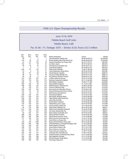# U.S. Open 3

# 119th U.S. Open Championship Results

| June 13-16, 2019                                                      |
|-----------------------------------------------------------------------|
| Pebble Beach Golf Links                                               |
| Pebble Beach, Calif.                                                  |
| Par: 35-36—71, Yardage: 7,075 • Entries: 9,125, Purse: \$12.5 million |

| Rd.1            | Rd.2            | Rd.3            | Final           |                                               |                 |             |
|-----------------|-----------------|-----------------|-----------------|-----------------------------------------------|-----------------|-------------|
| Pos.            | Pos.            | Pos.            | Pos.            | Player, Hometown                              | Scores          | Money       |
| T <sub>8</sub>  | $\mathbf{1}$    | $\mathbf{1}$    | $\mathbf{1}$    | Gary Woodland, Topeka, Kan.                   | 68-65-69-69-271 | \$2,250,000 |
| T <sub>16</sub> | T <sub>6</sub>  | T <sub>3</sub>  | $\overline{2}$  | Brooks Koepka, West Palm Beach, Fla.          | 69-69-68-68-274 | \$1,350,000 |
| T <sub>2</sub>  | T11             | T14             | T <sub>3</sub>  | Xander Schauffele, San Diego, Calif.          | 66-73-71-67-277 | \$581,872   |
| T <sub>16</sub> | T11             | T <sub>9</sub>  | T <sub>3</sub>  | Jon Rahm, Spain                               | 69-70-70-68-277 | \$581,872   |
| T <sub>8</sub>  | T <sub>6</sub>  | T <sub>3</sub>  | T <sub>3</sub>  | Chez Reavie, Scottsdale, Ariz.                | 68-70-68-71-277 | \$581,872   |
| $\mathbf{1}$    | $\overline{2}$  | $\overline{2}$  | T <sub>3</sub>  | Justin Rose, England                          | 65-70-68-74-277 | \$581,872   |
| T <sub>28</sub> | T11             | T14             | T7              | Adam Scott, Australia                         | 70-69-71-68-278 | \$367,387   |
| T <sub>2</sub>  | 3               | T <sub>3</sub>  | T7              | Louis Oosthuizen, South Africa                | 66-70-70-72-278 | \$367,387   |
| T <sub>8</sub>  | T11             | T <sub>9</sub>  | T <sub>9</sub>  | Henrik Stenson, Sweden                        | 68-70-70-71-279 | \$288,715   |
| T <sub>8</sub>  | T <sub>6</sub>  | T <sub>7</sub>  | T <sub>9</sub>  | Chesson Hadley, Raleigh, N.C.                 | 68-70-70-71-279 | \$288,715   |
| T8              | T <sub>4</sub>  | 6               | T <sub>9</sub>  | Rory McIlroy, Northern Ireland                | 68-69-70-72-279 | \$288,715   |
| T16             | T32             | T <sub>27</sub> | T12             | a-Viktor Hovland, Norway                      | 69-73-71-67-280 | \$226,609   |
| T16             | T19             | T23             | T12             | Matthew Fitzpatrick, England                  | 69-71-72-68-280 | \$226,609   |
| T <sub>28</sub> | T <sub>6</sub>  | T <sub>16</sub> | T <sub>12</sub> | Matt Wallace, England                         | 70-68-71-71-280 | \$226,609   |
| T40             | T32             | T <sub>9</sub>  | T <sub>12</sub> | Danny Willett, England                        | 71-71-67-71-280 | \$226,609   |
| T98             | T32             | T41             | T16             | Webb Simpson, Charlotte, N.C.                 | 74-68-73-66-281 | \$172,455   |
| T <sub>8</sub>  | T19             | T17             | T16             | Francesco Molinari, Italy                     | 68-72-71-70-281 | \$172,455   |
| T <sub>28</sub> | T32             | T14             | T16             | Byeong Hun An, Republic of Korea              | 70-72-68-71-281 | \$172,455   |
| T16             | T11             | T <sub>9</sub>  | T16             | Graeme McDowell, Northern Ireland             | 69-70-70-72-281 | \$172,455   |
| T16             | T <sub>6</sub>  | T7              | T16             | Matt Kuchar, Sea Island, Ga.                  | 69-69-70-73-281 | \$172,455   |
| T <sub>28</sub> | T32             | T41             | T21             | Paul Casey, England                           | 70-72-73-67-282 | \$117,598   |
| T115            | <b>T56</b>      | <b>T33</b>      | T <sub>21</sub> | Alex Prugh, Spokane, Wash.                    | 75-69-70-68-282 | \$117,598   |
| T <sub>28</sub> | T32             | T <sub>27</sub> | T21             | Tiger Woods, Hobe Sound, Fla.                 | 70-72-71-69-282 | \$117,598   |
| T <sub>28</sub> | T45             | T <sub>27</sub> | T21             | Jason Day, Australia                          | 70-73-70-69-282 | \$117,598   |
| T <sub>28</sub> | T56             | T <sub>27</sub> | T21             | Tyrrell Hatton, England                       | 70-74-69-69-282 | \$117,598   |
| T <sub>16</sub> | T32             | T23             | T <sub>21</sub> | Hideki Matsuyama, Japan                       | 69-73-70-70-282 | \$117,598   |
| <b>T77</b>      | T56             | T <sub>23</sub> | T21             | Patrick Cantlay, Jupiter, Fla.                | 73-71-68-70-282 | \$117,598   |
| T <sub>8</sub>  | T <sub>19</sub> | T48             | T <sub>28</sub> | Sepp Straka, Valdosta, Ga.                    | 68-72-76-67-283 | \$86,071    |
| T115            | T <sub>56</sub> | T33             | T <sub>28</sub> | Shane Lowry, Republic of Ireland              | 75-69-70-79-283 | \$86,071    |
| <b>T77</b>      | T19             | T <sub>23</sub> | T <sub>28</sub> | Jim Furyk, Jacksonville, Fla.                 | 73-67-72-71-283 | \$86,071    |
| T <sub>6</sub>  | T <sub>27</sub> | T17             | T <sub>28</sub> | Nate Lashley, Scottsdale, Ariz.               | 67-74-70-72-283 | \$86,071    |
| T98             | T <sub>56</sub> | T64             | T32             | Marcus Kinhult, Sweden                        | 74-70-74-66-284 | \$72,928    |
| T40             | T <sub>56</sub> | <b>T48</b>      | T32             | Patrick Reed, Houston, Texas                  | 71-73-72-68-284 | \$72,928    |
| <b>T77</b>      | T45             | T <sub>16</sub> | T32             | Billy Horschel, Ponte Vedra, Fla.             | 73-70-71-70-284 | \$72,928    |
| T <sub>2</sub>  | T <sub>4</sub>  | T48             | T35             | Aaron Wise, Las Vegas, Nev.                   | 66-71-79-69-285 | \$57,853    |
| T16             | T45             | T148            | T35             | Bryson DeChambeau, Clovis, Calif.             | 69-74-73-69-285 | \$57,853    |
| T40             | T <sub>56</sub> | T48             | T35             | Collin Morikawa, La Canada Flintridge, Calif. | 71-73-72-69-285 | \$57,853    |
| T <sub>16</sub> | T <sub>56</sub> | T41             | <b>T35</b>      | Martin Kaymer, Germany                        | 69-75-71-70-285 | \$57,853    |
| T <sub>28</sub> | T <sub>27</sub> | T33             | T35             | Jason Dufner, Auburn, Ala.                    | 70-71-73-71-285 | \$57,853    |
| T <sub>16</sub> | T45             | T <sub>27</sub> | T35             | Marc Leishman, Australia                      | 69-74-70-72-285 | \$57,853    |
| T40             | T <sub>19</sub> | T <sub>17</sub> | T35             | Dustin Johnson, Jupiter, Fla.                 | 71-69-71-74-285 | \$57,853    |
| T40             | T <sub>19</sub> | T17             | T35             | a-Brandon Wu, Scarsdale, N.Y.                 | 71-69-71-74-285 | amateur     |
| T77             | T56             | T60             | T43             | Andrew Putnam, University Place, Wash.        | 73-71-73-69-286 | \$41,500    |
| <b>T58</b>      | T45             | T48             | T43             | Rory Sabbatini, Slovakia                      | 72-71-73-70-286 | \$41,500    |
| T40             | T <sub>56</sub> | <b>T48</b>      | <b>T43</b>      | Erik Van Rooyen, South Africa                 | 71-73-72-70-286 | \$41,500    |
| T40             | T <sub>56</sub> | T41             | T43             | Tom Hoge, Fargo, N.D.                         | 71-73-71-71-286 | \$41,500    |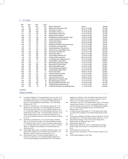#### 4 U.S. Open

| Rd.1            | Rd.2            | Rd.3            | Final           |                                          |                 |          |
|-----------------|-----------------|-----------------|-----------------|------------------------------------------|-----------------|----------|
| Pos.            | Pos.            | Pos.            | Pos.            | Player, Hometown                         | <b>Scores</b>   | Money    |
| T <sub>2</sub>  | T45             | T33             | T43             | Rickie Fowler, Murrieta, Calif.          | 66-77-71-72-286 | \$41,500 |
| T98             | T56             | T33             | T43             | Nick Taylor, Canada                      | 74-70-70-72-286 | \$41,500 |
| <b>T77</b>      | T45             | T64             | T49             | Kevin Kisner, Aiken, S.C.                | 73-70-75-69-287 | \$31,385 |
| <b>T77</b>      | T45             | <b>T60</b>      | T49             | Daniel Berger, Jupiter, Fla.             | 73-70-74-70-287 | \$31,385 |
| <b>T98</b>      | T32             | T <sub>17</sub> | T49             | Abraham Ancer, Mexico                    | 74-68-69-76-287 | \$31,385 |
| <b>T58</b>      | T <sub>27</sub> | <b>T48</b>      | T <sub>52</sub> | Phil Mickelson, Rancho Santa Fe, Calif.  | 72-69-75-72-288 | \$27,181 |
| <b>T58</b>      | T32             | <b>T48</b>      | <b>T52</b>      | Charles Howell III, Orlando, Fla.        | 72-70-74-72-288 | \$27,181 |
| <b>T28</b>      | T19             | T41             | <b>T52</b>      | Carlos Ortiz, Mexico                     | 70-70-75-72-288 | \$27,181 |
| T <sub>16</sub> | T <sub>11</sub> | T33             | <b>T52</b>      | Sergio Garcia, Spain                     | 69-70-75-74-288 | \$27,181 |
| T40             | T <sub>27</sub> | T <sub>27</sub> | <b>T52</b>      | Haotong Li, People's Republic of China   | 71-70-72-75-288 | \$27,181 |
| T <sub>6</sub>  | T <sub>11</sub> | T <sub>17</sub> | <b>T52</b>      | Scott Piercy, Las Vegas, Nev.            | 67-72-72-77-288 | \$27,181 |
| <b>T58</b>      | T32             | T72             | <b>T58</b>      | Charlie Danielson, Osceola, Wis.         | 72-70-77-70-289 | \$25,350 |
| T <sub>28</sub> | T11             | T54             | <b>T58</b>      | Zach Johnson, Cedar Rapids, Iowa         | 70-69-79-71-289 | \$25,350 |
| <b>T58</b>      | T45             | T64             | <b>T58</b>      | Andy Pope, Glen Ellyn, Ill.              | 72-71-75-71-289 | \$25,350 |
| T <sub>16</sub> | T56             | <b>T60</b>      | <b>T58</b>      | Adri Arnaus, Spain                       | 69-75-73-72-289 | \$25,350 |
| T46             | T19             | <b>T48</b>      | <b>T58</b>      | Harris English, Moultrie, Ga.            | 71-69-76-73-289 | \$25,350 |
| T <sub>8</sub>  | T32             | <b>T48</b>      | <b>T58</b>      | Emiliano Grillo, Argentina               | 68-74-74-73-289 | \$25,350 |
| <b>T58</b>      | T32             | T41             | <b>T58</b>      | a-Chandler Eaton, Alpharetta, Ga.        | 72-70-73-74-289 | amateur  |
| <b>T58</b>      | T <sub>56</sub> | 77              | T65             | Justin Walters, South Africa             | 72-72-77-69-290 | \$23,851 |
| T40             | T56             | T72             | T65             | Kyle Stanley, Gig Harbor, Wash.          | 71-73-75-71-290 | \$23,851 |
| T40             | T56             | T64             | T65             | Brian Stuard, Jackson, Mich.             | 71-73-74-72-290 | \$23,851 |
| T <sub>28</sub> | T56             | <b>T64</b>      | T65             | Rafa Cabrera Bello, Spain                | 70-74-74-72-290 | \$23,851 |
| T40             | T56             | <b>T60</b>      | T65             | Tommy Fleetwood, England                 | 71-73-73-73-290 | \$23,851 |
| <b>T58</b>      | T <sub>27</sub> | T33             | <b>T65</b>      | Jordan Spieth, Dallas, Texas             | 72-69-73-76-290 | \$23,851 |
| T146            | <b>T56</b>      | T41             | 71              | Rhys Enoch, Wales                        | 78-66-71-76-291 | \$22,977 |
| T40             | T45             | T75             | T72             | Cameron Smith, Australia                 | 71-72-77-72-292 | \$22,353 |
| <b>T58</b>      | T32             | T72             | T72             | Luke Donald, England                     | 72-70-77-73-292 | \$22,353 |
| T132            | T56             | T64             | <b>T72</b>      | Clement Sordet, France                   | 76-68-74-74-292 | \$22,353 |
| <b>T77</b>      | T45             | T48             | T72             | Billy Hurley III, Annapolis, Md.         | 73-70-73-76-292 | \$22,353 |
| T40             | T <sub>56</sub> | 78              | 76              | Bernd Wiesberger, Austria                | 71-73-78-72-294 | \$21,728 |
| T115            | T56             | T64             | 77              | Brandt Snedeker, Nashville, Tenn.        | 75-69-74-77-295 | \$21,478 |
| T <sub>19</sub> | T56             | T75             | 78              | Chip McDaniel, Manchester, Ky.           | 71-73-76-77-297 | \$21,224 |
| T40             | T <sub>56</sub> | 79              | 79              | a-Michael Thorbjornsen, Wellesley, Mass. | 71-73-84-76-304 | amateur  |

#### a-amateur

#### Failed to Qualify

- 145 Lee Slattery, England, 73-72; Joseph Bramlett, San Jose, Calif., 73-72; Lucas Glover, Jupiter, Fla., 73-72; Ollie Schniederjans, Alpharetta, Ga., 75-70; Matt Jones, Australia, 74-71; a-Spencer Tibbits, Vancouver, Wash., 74-71; Rob Oppenheim, Andover, Mass., 73-72; Nick Hardy, Northbrook, Ill., 73-72
- 146 David Toms, Shreveport, La., 72-74; Luke List, Augusta, Ga., 74-72; Branden Grace, South Africa, 75-71; Keith Mitchell, Sea Island, Ga., 76-70, Tony Finau, Lehi, Utah, 74-72, Jimmy Walker, Boerne, Texas, 75-71; Ian Poulter, England, 73-73; Justin Harding, South Africa, 73-73; Hayden Shieh, Fremont, Calif., 77-69; Julian Etulain, Argentina, 76-70; Scottie Scheffler, Dallas, Texas, 72-74; Brendon Todd, Athens, Ga., 72-74; a-Jovan Rebula, South Africa, 70-76; Justin Thomas, Louisville, Ky., 73-73
- 147 Joel Dahmen, Scottsdale, Ariz., 75-72; a-Austin Eckroat, Edmond, Okla., 72-75; Alex Noren, Sweden, 75-72; Aaron Baddeley, Australia, 72-75; Matthieu Pavon, France, 73-74; Sam Saunders, Atlantic Beach, Fla., 72-75; Dean Burmester, South Africa, 76-71; a-Kevin Yu, Chinese Taipei, 74-73; Ryan Fox, New Zealand, 74-73; Patton Kizzire, Sea Island, Ga., 80-67
- 148 Cody Gribble, Dallas, Texas, 74-74; Mikumu Horikawa, Japan, 73-75; Callum Tarren, England, 73-75; Thorbjorn Olesen, Denmark, 71-77; Mike Weir, Canada, 74-74; Ernie Els, South Africa, 75-73
- 149 Renato Paratore, Italy, 75-74; Sam Horsfield, England, 75-74; Kevin Na, Las Vegas, Nev., 72-77; Keegan Bradley, Woodstock, Vt., 73-76; a-Stewart Hagestad, Newport Beach, Calif., 74-75; Kiradech

Aphibarnrat, Thailand, 75-74; a-Daniel Hillier, New Zealand, 76-73; Guillermo Pereira, Chile, 77-72; Luis Gagne, Costa Rica, 71-78; J.B. Holmes, 72-77; Jhonattan Vegas, Venezuela, 72-77

- 150 Luke Guthrie, Quincy, Ill., 75-75; Shugo Imahira, Japan, 75-75; Connor Arendell, Cape Coral, Fla., 77-73; K.H. Lee, Republic of Korea, 76-74; a-Kevin O'Connell, Jacksonville, Fla., 76-74; Bubba Watson, Bagdad, Fla., 75-75; Si Woo Kim, Republic of Korea, 76-74; Richard Lee, Bellevue, Wash., 72-78
- 151 a-Cameron Young, Scarborough, N.Y., 75-76; Anirban Lahiri, India, 74-77; Brian Davis, England, 75-76; a-Matt Parziale, Brockton, Mass., 74-77
- 152 Thomas Pieters, Belgium, 76-76; Marcus Fraser, Australia, 77-75; Chan Kim, Gilbert, Ariz., 77-75; Ryan Sullivan, Winston-Salem, N.C., 73-79
- 153 Brett Drewitt, Australia, 77-76; C.T. Pan, Chinese Taipei, 80-73; Matthew Naumec, Wilbraham, Mass., 74-79
- 154 Kodai Ichihara, Japan, 80-74
- 155 Roberto Castro, Atlanta, Ga., 78-77; Lucas Bjerregaard, Denmark, 80-75; Zac Blair, Orem, Utah, 83-72; a-Noah Norton, Chico, Calif., 80-75
- 156 Andreas Halvorsen, Norway, 74-82
- 158 Merrick Bremner, South Africa, 79-79; Eric Dietrich, Cheshire, Conn., 83-75
- 162 a-Devon Bling, Ridgecrest, Calif., 82-80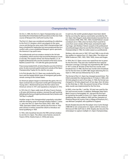# Championship History

On Oct. 4, 1895, the first U.S. Open Championship was conducted by the United States Golf Association on the nine-hole course of Newport (R.I.) Golf and Country Club.

The first U.S. Open was considered something of a sideshow to the first U.S. Amateur, which was played on the same course and during the same week. Both championships had been scheduled for September but were postponed due to a conflict with a more established Newport sports spectacle, the America's Cup yacht races.

Ten professionals and one amateur started in the 36-hole competition, which was four trips around the Newport course in one day. The surprise winner was Horace Rawlins, 21, an English professional who was the assistant at the host course. Rawlins scored 91-82—173 with the gutta-percha ball.

Prize money totaled \$335, of which Rawlins won the \$150 first prize. He also received a gold medal and custody of the Open Championship Trophy for his club for one year.

In its first decade, the U.S. Open was conducted for amateurs and the largely British wave of immigrant golf professionals coming to the United States.

As American players began to dominate the game, the U.S. Open evolved into an important world golf championship. Young John J. McDermott became the first native-born American winner in 1911 and repeated as champion in 1912.

In 1913, the U.S. Open really took off when Francis Ouimet, a 20-year-old American amateur, stunned the golf world by defeating the famous English professionals Harry Vardon and Ted Ray in a playoff.

Another surge in the championship's popularity coincided with the amazing career of Georgia amateur Robert T. Jones Jr., who won the U.S. Open four times (1923, 1926, 1929, 1930). Spectator tickets were sold for the first time in 1922 and a boom in entries caused the USGA to introduce sectional qualifying in 1924.

In 1933, John Goodman became the fifth and last amateur to win the U.S. Open. The others were Ouimet, Jerome D. Travers (1915), Charles Evans Jr. (1916) and Jones.

In each era, the world's greatest players have been identified by surviving the rigorous examination provided by the U.S. Open. Ben Hogan's steely determination boosted him to four victories (1948, 1950, 1951, 1953). Arnold Palmer's record comeback win in 1960, when he fired a final-round 65 to come from seven strokes off the lead, cemented his dashing image. Jack Nicklaus' historic assault on the professional record book began when he won the first of his four U.S. Open Championships in 1962, his rookie season as a professional.

Nicklaus, who also won in 1967, 1972 and 1980, is one of only four golfers to capture four U.S. Open titles. The others are Willie Anderson (1901, 1903, 1904, 1905), Jones and Hogan.

In 1954, the U.S. Open course was roped from tee to green for the first time. That year also marked the first national television coverage. Coverage was expanded by ABC Sports in 1977 so that all 18 holes of the final two rounds were broadcast live. In 1982, the first two rounds were broadcast live for the first time on ESPN. NBC began televising the U.S. Open in 1995 and was followed by Fox in 2015.

The format of the U.S. Open has changed several times. The USGA extended the championship to 72 holes in 1898, with 36 holes played on each of two days. In 1926, the format was changed to 18 holes played each of two days, then 36 holes on the third day. In 1965, the present format of four 18-hole daily rounds was implemented for the first time.

In 2002, a two-tee (No. 1 and No. 10) start was used for the first and second rounds. In addition, Bethpage State Park's Black Course in Farmingdale, N.Y., became the first facility owned by the public to host a U.S. Open. International qualifying sites were added in 2005 and the champion at Pinehurst Resort & Country Club, in Village of Pinehurst, N.C., was Michael Campbell, who qualified in England.

Brooks Koepka became the first player since Curtis Strange (1988-89) to win consecutive U.S. Opens with his victory at Shinnecock Hills Golf Club in 2018. Koepka also became the 22nd player to capture multiple U.S. Open Championships.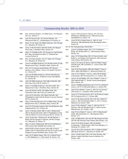# Championship Results: 1895 to 2019

- 1895 (Oct. 4) Horace Rawlins, 173; Willie Dunn, 175; Newport (R.I.) G.C.; Entries: 11 1896 (July 18) James Foulis, 152; Horace Rawlins, 155; Shinnecock Hills G.C., Southampton, N.Y; Entries: 35
- 1897 (Sept. 17) Joe Lloyd, 162; Willie Anderson, 163; Chicago G.C., Wheaton, Ill.; Entries: 35
- 1898 (June 17-18) Fred Herd, 328; Alex Smith, 335; Myopia Hunt Club, S. Hamilton, Mass.; Entries: 49
- 1899 (Sept. 14-15) Willie Smith, 315; George Low, Val Fitzjohn, W.H. Way, 326; Baltimore (Md.) C.C. (Roland Park Course); Entries: 81
- 1900 (Oct. 4-5) Harry Vardon, 313; J.H. Taylor, 315; Chicago G.C., Wheaton, Ill.; Entries: 60
- 1901 (June 14-16) Willie Anderson, 331-85; Alex Smith, 331-86; Myopia Hunt Club, S. Hamilton, Mass.; Entries: 60
- 1902 (Oct. 10-11) Laurence Auchterlonie, 307; Stewart Gardner, 313; a-Walter J. Travis, 313; Garden City (N.Y.) G.C.; Entries: 90
- 1903 (June 26-29) Willie Anderson, 307-82; David Brown, 307-84; Baltusrol G.C. (Original Course), Springfield, N.J.; Entries: 89
- 1904 (July 8-9) Willie Anderson, 303; Gilbert Nicholls, 308; Glen View Club, Golf, Ill.; Entries: 71
- 1905 (Sept. 21-22) Willie Anderson, 314; Alex Smith, 316; Myopia Hunt Club, S. Hamilton, Mass.; Entries: 83
- 1906 (June 28-29) Alex Smith, 295; Willie Smith, 302; Onwentsia Club, Lake Forest, Ill.; Entries: 68
- 1907 (June 20-21) Alex Ross, 302; Gilbert Nicholls, 304; Philadelphia Cricket Club (St. Martin's Course), Chestnut Hill, Pa.; Entries: 82
- 1908 (Aug. 27-29) Fred McLeod, 322-77; Willie Smith, 322-83; Myopia Hunt Club, S. Hamilton, Mass.; Entries: 88
- 1909 (June 24-25) George Sargent, 290; Tom McNamara, 294; Englewood (N.J.) G.C.; Entries: 84
- 1910 (June 17-20) Alex Smith, 298-71; John J. McDermott, 298-75, Macdonald Smith, 298-77; Philadelphia Cricket Club (St. Martin's Course), Chestnut Hill, Pa.; Entries: 75
- 1911 (June 23-26) John J. McDermott, 307-80; Michael J. Brady, 307-82; George O. Simpson, 307-85; Chicago G.C., Wheaton, Ill.; Entries: 79
- 1912 (Aug. 1-2) John J. McDermott, 294 (-2); Tom McNamara, 296; Country Club of Buffalo (N.Y.); Entries: 131
- 1913 (Sept.18-20) a-Francis Ouimet, 304 (+20)-72; Harry Vardon, 304-77; Edward Ray, 304-78; The Country Club (Original Course), Brookline, Mass.; Entries: 165
- 1914 (Aug. 20-21) Walter Hagen, 290 (+2); a-Charles Evans Jr., 291; Midlothian C.C., Blue Island, Ill.; Entries: 129
- 1915 (June 17-18) a-Jerome D. Travers, 297 (+9); Tom McNamara, 298; Baltusrol G.C. (Revised Course), Springfield, N.J.; Entries: 141
- 1916 (June 29-30) a-Charles Evans Jr., 286 (-2); Jock Hutchison, 288; Minikahda Club, Minneapolis, Minn.; Entries: 94
- 1917-18 No Championships: World War I
- 1919 (June 9-12) Walter Hagen, 301 (+17)-77; Michael J. Brady, 301-78; Brae Burn C.C., West Newton, Mass.; Entries: 142
- 1920 (Aug. 12-13) Edward Ray, 295 (+7); Harry Vardon, Jack Burke Sr., Leo Diegel, Jock Hutchison, 296; Inverness Club, Toledo, Ohio; Entries: 265
- 1921 (July 21-22) James M. Barnes, 289 (+9); Walter Hagen, Fred McLeod, 298; Columbia C.C., Chevy Chase, Md.; Entries: 262
- 1922 (July 14-15) Gene Sarazen, 288 (+8); a-Robert T. Jones Jr., John L. Black, 289; Skokie C.C., Glencoe, Ill.; Entries: 323
- 1923 (July 13-15) a-Robert T. Jones Jr., 296 (+8)-76; Bobby Cruickshank, 296-78; Inwood (N.Y.) C.C.; Entries: 360
- 1924 (June 5-6) Cyril Walker, 297 (+9); a-Robert T. Jones Jr., 300; Oakland Hills C.C. (South Course), Birmingham, Mich.; Entries: 319
- 1925 (June 3-5) William Macfarlane, 291 (+7)-75-72; a-Robert T. Jones Jr., 291-75-73; Worcester (Mass.) C.C.; Entries: 445
- 1926 (July 8-10) a-Robert T. Jones Jr., 293 (+5); Joe Turnesa, 294; Scioto C.C., Columbus, Ohio; Entries: 694
- 1927 (June 14-17) Tommy Armour, 301 (+13)-76; Harry Cooper, 301-79; Oakmont (Pa.) C.C.; Entries: 898
- 1928 (June 21-24) Johnny Farrell, 294 (+10)-143; a-Robert T. Jones Jr., 294-144; Olympia Fields C.C. (No. 4 Course), Matteson, Ill.; Entries: 1,064
- 1929 (June 27-30) a-Robert T. Jones Jr., 294 (+6)-141; Al Espinosa, 294-164; Winged Foot G.C. (West Course), Mamaroneck, N.Y.; Entries: 1,000
- 1930 (July 10-12) a-Robert T. Jones Jr., 287 (-1); Macdonald Smith, 289; Interlachen C.C., Minneapolis, Minn.; Entries: 1,177
- 1931 (July 2-6) Billy Burke, 292 (+8)-149-148; George Von Elm, 292-149-149; Inverness Club, Toledo, Ohio; Entries: 1,141
- 1932 (June 23-25) Gene Sarazen, 286 (+6); Bobby Cruickshank, T. Philip Perkins, 289; Fresh Meadow C.C., Flushing, N.Y.; Entries: 1,011
- 1933 (June 8-10) a-John Goodman, 287 (-1); Ralph Guldahl, 288; North Shore G.C., Glenview, Ill.; Entries: 915
- 1934 (June 7-9) Olin Dutra, 293 (+13); Gene Sarazen, 294; Merion Cricket Club (East Course), Ardmore, Pa.; Entries: 1,063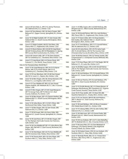- 1935 (June 6-8) Sam Parks Jr., 299 (+11); Jimmy Thomson, 301; Oakmont (Pa.) C.C.; Entries: 1,125
- 1936 (June 4-6) Tony Manero, 282 (-6); Harry Cooper, 284; Baltusrol G.C. (Upper Course), Springfield, N.J.; Entries: 1,277
- 1937 (June 10-12) Ralph Guldahl, 281 (-7); Sam Snead, 283; Oakland Hills C.C. (South Course), Birmingham, Mich.; Entries: 1,402
- 1938 (June 9-11) Ralph Guldahl, 284 (E); Dick Metz, 290; Cherry Hills C.C., Englewood, Colo.; Entries: 1,223
- 1939 (June 8-12) Byron Nelson, 284 (+8)-68-70; Craig Wood, 284-68-73; Denny Shute, 284-76; Philadelphia C.C. (Spring Mill Course), West Conshohocken, Pa.; Entries: 1,193
- 1940 (June 6-8) Lawson Little, 287 (-1)-70; Gene Sarazen, 287-73; Canterbury G.C., Cleveland, Ohio; Entries: 1,161
- 1941 (June 5-7) Craig Wood, 284 (+4); Denny Shute, 287; Colonial C.C., Fort Worth, Texas; Entries: 1,048
- 1942-45 No Championships: World War II
- 1946 (June 13-16) Lloyd Mangrum, 284 (-4)-72-72; Byron Nelson, 284-72-73; Victor Ghezzi, 284-72-73; Canterbury G.C., Cleveland, Ohio; Entries: 1,175
- 1947 (June 12-15) Lew Worsham, 282 (-2)-69; Sam Snead, 282-70; St. Louis C.C., Clayton, Mo.; Entries: 1,356
- 1948 (June 10-12) Ben Hogan, 276 (-8); Jimmy Demaret, 278; Riviera C.C., Los Angeles, Calif.; Entries: 1,411
- 1949 (June 9-11) Cary Middlecoff, 286 (+2); Sam Snead, Clayton Heafner, 287; Medinah (Ill.) C.C. (No. 3 Course); Entries: 1,348
- 1950 (June 8-11) Ben Hogan, 287 (+7)-69; Lloyd Mangrum, 287-73; George Fazio, 287-75; Merion G.C. (East Course), Ardmore, Pa.; Entries: 1,379
- 1951 (June 14-16) Ben Hogan, 287 (+7); Clayton Heafner, 289; Oakland Hills C.C. (South Course), Birmingham, Mich.; Entries: 1,511
- 1952 (June 12-14) Julius Boros, 281 (+1); Ed S. Oliver, 285; Northwood Club, Dallas, Texas; Entries: 1,688
- 1953 (June 11-13) Ben Hogan, 283 (-5); Sam Snead, 289; Oakmont (Pa.) C.C.; Entries: 1,669
- 1954 (June 17-19) Ed Furgol, 284 (+4); Gene Littler, 285; Baltusrol G.C. (Lower Course), Springfield, N.J.; Entries: 1,928
- 1955 (June 16-19) Jack Fleck, 287 (+7)-69; Ben Hogan, 287- 72; The Olympic Club (Lake Course), San Francisco, Calif.; Entries: 1,522
- 1956 (June 14-16) Cary Middlecoff, 281 (+1); Julius Boros, Ben Hogan, 282; Oak Hill C.C. (East Course), Rochester, N.Y.; Entries: 1,921
- 1957 (June 13-16) Dick Mayer, 282 (+2)-72; Cary Middlecoff, 282-79; Inverness Club, Toledo, Ohio; Entries: 1,907
- 1958 (June 12-14) Tommy Bolt, 283 (+3); Gary Player, 287; Southern Hills C.C., Tulsa, Okla.; Entries: 2,132
- 1959 (June 11-13) Billy Casper, 282 (+2); Bob Rosburg, 283; Winged Foot G.C. (West Course), Mamaroneck, N.Y.; Entries: 2,385
- 1960 (June 16-18) Arnold Palmer, 280 (-4); a-Jack Nicklaus, 282; Cherry Hills C.C., Englewood, Colo.; Entries: 2,453
- 1961 (June 15-17) Gene Littler, 281 (+1); Doug Sanders, Bob Goalby, 282; Oakland Hills C.C. (South Course), Birmingham, Mich.; Entries: 2,449
- 1962 (June 14-17) Jack Nicklaus, 283 (-1)-71; Arnold Palmer, 283-74; Oakmont (Pa.) C.C.; Entries: 2,475
- 1963 (June 20-23) Julius Boros, 293 (+9)-70; Jacky Cupit, 293-73; Arnold Palmer, 293-76; The Country Club (Championship Course), Brookline, Mass.; Entries: 2,392
- 1964 (June 18-20) Ken Venturi, 278 (-2); Tommy Jacobs, 282; Congressional C.C. (Composite Course), Bethesda, Md.; Entries: 2,341
- 1965 (June 17-21) Gary Player, 282 (+2)-71; Kel Nagle, 282-74; Bellerive C.C., St. Louis, Mo.; Entries: 2,271
- 1966 (June 16-20) Billy Casper, 278 (-2)-69; Arnold Palmer, 278-73; The Olympic Club (Lake Course), San Francisco, Calif.; Entries: 2,475
- 1967 (June 15-18) Jack Nicklaus, 275 (-5); Arnold Palmer, 279; Baltusrol G.C. (Lower Course), Springfield, N.J.; Entries: 2,651
- 1968 (June 13-16) Lee Trevino, 275 (-5); Jack Nicklaus, 279; Oak Hill C.C. (East Course), Rochester, N.Y.; Entries: 3,007
- 1969 (June 12-15) Orville Moody, 281 (+1); Deane Beman, Al Geiberger, Bob Rosburg, 282; Champions G.C. (Cypress Creek Course), Houston, Texas; Entries: 3,397
- 1970 (June 18-21) Tony Jacklin, 281 (-7); Dave Hill, 288; Hazeltine National G.C., Chaska, Minn.; Entries: 3,605
- 1971 (June 17-21) Lee Trevino, 280 (E)-68; Jack Nicklaus, 280-71; Merion G.C. (East Course), Ardmore, Pa.; Entries: 4,279
- 1972 (June 15-18) Jack Nicklaus, 290 (+2); Bruce Crampton, 293; Pebble Beach (Calif.) G.L.; Entries: 4,196
- 1973 (June 14-17) Johnny Miller, 279 (-5); John Schlee, 280; Oakmont (Pa.) C.C.; Entries: 3,580
- 1974 (June 13-16) Hale Irwin, 287 (+7); Forrest Fezler, 289; Winged Foot G.C. (West Course), Mamaroneck, N.Y; Entries: 3,914
- 1975 (June 19-23) Lou Graham, 287 (+3)-71; John Mahaffey, 287-73; Medinah (Ill.) C.C. (No. 3 Course); Entries: 4,214
- 1976 (June 17-20) Jerry Pate, 277 (-3); Tom Weiskopf, Al Geiberger, 279; Atlanta Athletic Club (Highlands Course), Duluth, Ga.; Entries: 4,436
- 1977 (June 16-19) Hubert Green, 278 (-2); Lou Graham, 279; Southern Hills C.C., Tulsa, Okla.; Entries: 4,608
- 1978 (June 15-18) Andy North, 285 (+1); J.C. Snead, Dave Stockton, 286; Cherry Hills C.C., Englewood, Colo.; Entries: 4,897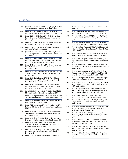#### 8 U.S. Open

- 1979 (June 14-17) Hale Irwin, 284 (E); Gary Player, Jerry Pate, 286; Inverness Club, Toledo, Ohio; Entries: 4,853
- 1980 (June 12-15) Jack Nicklaus, 272 (-8); Isao Aoki, 274; Baltusrol G.C. (Lower Course), Springfield, N.J.; Entries: 4,812
- 1981 (June 18-21) David Graham, 273 (-7); Bill Rogers, George Burns, 276; Merion G.C. (East Course), Ardmore, Pa.; Entries: 4,946
- 1982 (June 17-20) Tom Watson, 282 (-6); Jack Nicklaus, 284; Pebble Beach (Calif.) G.L.; Entries: 5,255
- 1983 (June 16-20) Larry Nelson, 280 (-4); Tom Watson, 281; Oakmont (Pa.) C.C.; Entries: 5,039
- 1984 (June 14-18) Fuzzy Zoeller, 276 (-4)-67; Greg Norman, 276-75; Winged Foot G.C. (West Course), Mamaroneck, N.Y.; Entries: 5,195
- 1985 (June 13-16) Andy North, 279 (-1); Denis Watson, Dave Barr, Tze-Chung Chen, 280; Oakland Hills C.C. (South Course), Birmingham, Mich.; Entries: 5,274
- 1986 (June 12-15) Raymond Floyd, 279 (-1); Lanny Wadkins, Chip Beck, 281; Shinnecock Hills G.C., Southampton, N.Y.; Entries: 5,410
- 1987 (June 18-21) Scott Simpson, 277 (-3); Tom Watson, 278; The Olympic Club (Lake Course), San Francisco, Calif.; Entries: 5,696
- 1988 (June 16-20) Curtis Strange, 278 (-6)-71; Nick Faldo, 278-75; The Country Club (Championship Course), Brookline, Mass.; Entries: 5,775
- 1989 (June 15-18) Curtis Strange, 278 (-2); Ian Woosnam, Chip Beck, Mark McCumber, 279; Oak Hill C.C. (East Course), Rochester, N.Y.; Entries: 5,786
- 1990 (June 14-18) Hale Irwin, 280 (-8)-74-3; Mike Donald, 280- 74-4; Medinah (Ill.) C.C. (No. 3 Course); Entries: 6,198
- 1991 (June 13-17) Payne Stewart, 282 (-6)-75; Scott Simpson, 282-77; Hazeltine National G.C., Chaska, Minn.; Entries: 6,063
- 1992 (June 18-21) Tom Kite, 285 (-3); Jeff Sluman, 287; Pebble Beach (Calif.) G.L.; Entries: 6,244
- 1993 (June 17-20) Lee Janzen, 272 (-8); Payne Stewart, 274; Baltusrol G.C. (Lower Course), Springfield, N.J.; Entries: 5,905
- 1994 (June 16-20) Ernie Els, 279 (-5)-74-4-4; Loren Roberts, 279-74-4-5; Colin Montgomerie, 279-78; Oakmont (Pa.) C.C.; Entries: 6,010
- 1995 (June 15-18) Corey Pavin, 280 (E); Greg Norman, 282; Shinnecock Hills G.C., Southampton, N.Y.; Entries: 6,001
- 1996 (June 13-16) Steve Jones, 278 (-2); Davis Love III, Tom Lehman, 279; Oakland Hills C.C. (South Course), Bloomfield Hills, Mich.; Entries: 5,925
- 1997 (June 12-15) Ernie Els, 276 (-4); Colin Montgomerie, 277; Congressional C.C. (Blue Course), Bethesda, Md.; Entries: 7,013
- 1998 (June 18-21) Lee Janzen, 280 (E); Payne Stewart, 281;

The Olympic Club (Lake Course), San Francisco, Calif.; Entries: 7,117

- 1999 (June 17-20) Payne Stewart, 279 (-1); Phil Mickelson, 280; Pinehurst (N.C.) R. & C.C. (No. 2); Entries: 7,889
- 2000 (June 15-18) Tiger Woods, 272 (-12), Ernie Els, Miguel Angel Jimenez, 287; Pebble Beach (Calif.) G.L.; Entries: 8,455
- 2001 (June 14-18) Retief Goosen, 276 (-4)-70; Mark Brooks, 276-72; Southern Hills C.C., Tulsa, Okla.; Entries: 8,398
- 2002 (June 13-16) Tiger Woods, 277 (-3); Phil Mickelson, 280; Bethpage State Park (Black Course), Farmingdale, N.Y.; Entries: 8,648
- 2003 (June 12-15) Jim Furyk, 272 (-8); Stephen Leaney, 275; Olympia Fields (Ill.) C.C. (North Course); Entries: 7,820
- 2004 (June 17-20) Retief Goosen, 276 (-4); Phil Mickelson, 278; Shinnecock Hills G.C., Southampton, N.Y.; Entries: 8,726
- 2005 (June 16-19) Michael Campbell, 280 (E); Tiger Woods, 282; Pinehurst Resort (No. 2), Village of Pinehurst, N.C.; Entries: 9,048
- 2006 (June 15-18) Geoff Ogilvy, 285 (+5); Jim Furyk, Colin Montgomerie, Phil Mickelson, 286; Winged Foot G.C. (West Course), Mamaroneck, N.Y.; Entries: 8,584
- 2007 (June 14-17) Angel Cabrera, 285 (+5); Jim Furyk, Tiger Woods, 286; Oakmont (Pa.) C.C.; Entries: 8,544
- 2008 (June 12-16) Tiger Woods, 283 (-1)-71-4; Rocco Mediate, 283-71-5; Torrey Pines G.C. (South Course), San Diego, Calif.; Entries: 8,390
- 2009 (June 18-22) Lucas Glover, 276 (-4); Phil Mickelson, David Duval, Ricky Barnes, 278; Bethpage State Park (Black Course), Farmingdale, N.Y.; Entries: 9,086
- 2010 (June 17-20) Graeme McDowell, 284 (E); Gregory Havret, 285; Pebble Beach (Calif.) G.L.; Entries: 9,052
- 2011 (June 16-19) Rory McIlroy, •+268 (-16); Jason Day, 276; Congressional C.C. (Blue Course), Bethesda, Md.; Entries: 8,300
- 2012 (June 14-17) Webb Simpson, 281 (+1); Michael Thompson, Graeme McDowell, 282; The Olympic Club (Lake Course), San Francisco, Calif.; Entries: 9,006
- 2013 (June 13-16) Justin Rose, 281 (+1); Jason Day, Phil Mickelson, 283; Merion Golf Club, Ardmore, Pa.; Entries: 9,860
- 2014 (June 12-15) Martin Kaymer, 271 (-9); Erik Compton, Rickie Fowler, 279; Pinehurst R. & C.C. (No. 2), Village of Pinehurst, N.C.; Entries: §10,127
- 2015 (June 18-21) Jordan Spieth, 275 (-5); Dustin Johnson, Louis Oosthuizen, 276; Chambers Bay, University Place, Wash.; Entries: 9,882
- 2016 (June 16-19) Dustin Johnson, 276 (-4); Jim Furyk, Scott Piercy, Shane Lowry, 279; Oakmont (Pa.) C.C. ; Entries: 9,877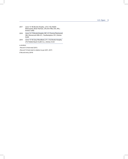- 2017 (June 15-18) Brooks Koepka, +272 (-16); Hideki Matsuyama, Brian Harman, 276; Erin Hills, Erin, Wis.; Entries: 9,485
- 2018 (June 14-17) Brooks Koepka, 281 (+1); Tommy Fleetwood, 282; Shinnecock Hills G.C., Southampton, N.Y.; Entries: 9,049
- 2019 (June 13-16) Gary Woodland, 271 (-13); Brooks Koepka, 274; Pebble Beach (Calif.) G.L.; Entries: 9,125

a-amateur

• Record 72-hole total (2011)

+Record 72-hole total in relation to par (2011, 2017)

§ Record entry (2014)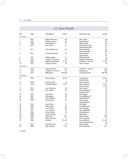|                |      |                           | 0.0. Open rayons |                          |              |
|----------------|------|---------------------------|------------------|--------------------------|--------------|
| No.            | Year | Champion                  | Score            | Runner(s)-Up             | Score        |
| (18 holes)     |      |                           |                  |                          |              |
| $\mathbf{1}$   | 1901 | Willie Anderson           | 85               | Alex Smith               | 86           |
| $\overline{2}$ | 1903 | Willie Anderson           | 82               | David Brown              | 84           |
| 3              | 1908 | <b>Fred McLeod</b>        | 77               | <b>Willie Smith</b>      | 83           |
| $\overline{4}$ | 1910 | Alex Smith                | 71               | John McDermott           | 75           |
|                |      |                           |                  | <b>Macdonald Smith</b>   | 77           |
| 5              | 1911 | John McDermott            | 80               | Michael Brady            | 82           |
|                |      |                           |                  | George Simpson           | 85           |
| 6              | 1913 | a-Francis Ouimet          | 72               | Harry Vardon             | 77           |
|                |      |                           |                  | <b>Edward Ray</b>        | 78           |
| 7              | 1919 | Walter Hagen              | 77               | Michael Brady            | 78           |
| 8              | 1923 | a-Robert T. Jones Jr.     | 76               | <b>Bobby Cruickshank</b> | 78           |
| 9              | 1925 | <b>William Macfarlane</b> | $75 - 72$        | a-Robert T. Jones Jr.    | $75 - 73$    |
| 10             | 1927 | <b>Tommy Armour</b>       | 76               | Harry Cooper             | 79           |
| (36 holes)     |      |                           |                  |                          |              |
| 11             | 1928 | Johnny Farrell            | 143              | a-Robert T. Jones Jr.    | 144          |
| 12             | 1929 | a-Robert T. Jones Jr.     | 141              | Al Espinosa              | 164          |
| 13             | 1931 | <b>Billy Burke</b>        | 149-148          | George Von Elm           | 149-149      |
| (18 holes)     |      |                           |                  |                          |              |
| 14             | 1939 | <b>Byron Nelson</b>       | 68-70            | Craig Wood               | 68-73        |
|                |      |                           |                  | Denny Shute              | 76           |
| 15             | 1940 | Lawson Little             | 70               | Gene Sarazen             | 73           |
| 16             | 1946 | Lloyd Mangrum             | $72 - 72$        | <b>Byron Nelson</b>      | $72 - 73$    |
|                |      |                           |                  | Victor Ghezzi            | $72 - 73$    |
| 17             | 1947 | Lew Worsham               | 69               | Sam Snead                | 70           |
| 18             | 1950 | Ben Hogan                 | 69               | Lloyd Mangrum            | 73           |
|                |      |                           |                  | George Fazio             | 75           |
| 19             | 1955 | Jack Fleck                | 69               | Ben Hogan                | 72           |
| 20             | 1957 | Dick Mayer                | 72               | Cary Middlecoff          | 79           |
| 21             | 1962 | Jack Nicklaus             | 71               | Arnold Palmer            | 74           |
| 22             | 1963 | Julius Boros              | 70               | Jacky Cupit              | 73           |
|                |      |                           |                  | Arnold Palmer            | 76           |
| 23             | 1965 | <b>Gary Player</b>        | 71               | Kel Nagle                | 74           |
| 24             | 1966 | <b>Billy Casper</b>       | 69               | Arnold Palmer            | 73           |
| 25             | 1971 | Lee Trevino               | 68               | <b>Jack Nicklaus</b>     | 71           |
| 26             | 1975 | Lou Graham                | 71               | John Mahaffey            | 73           |
| 27             | 1984 | <b>Fuzzy Zoeller</b>      | 67               | Greg Norman              | 75           |
| 28             | 1988 | <b>Curtis Strange</b>     | 71               | Nick Faldo               | 75           |
| 29             | 1990 | Hale Irwin                | $74-3$           | Mike Donald              | $74 - 4$     |
| 30             | 1991 | Payne Stewart             | 75               | Scott Simpson            | 77           |
| 31             | 1994 | Ernie Els                 | $74 - 4 - 4$     | Loren Roberts            | $74 - 4 - 5$ |
|                |      |                           |                  | Colin Montgomerie        | 78           |
| 32             | 2001 | <b>Retief Goosen</b>      | 70               | <b>Mark Brooks</b>       | 72           |
| 33             | 2008 | Tiger Woods               | $71 - 4$         | Rocco Mediate            | $71-5$       |

# U.S. Open Playoffs

a-amateur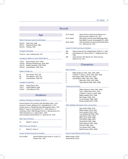# Records

|                                         | Age                                                                                                                                                                                                                            | 65 (5 under)                                            |                                                            | Ja<br>(E         |
|-----------------------------------------|--------------------------------------------------------------------------------------------------------------------------------------------------------------------------------------------------------------------------------|---------------------------------------------------------|------------------------------------------------------------|------------------|
|                                         | Oldest Champion (years/months/days)                                                                                                                                                                                            | 65 (5 under)                                            |                                                            | Ν                |
| 45/0/15<br>43/9/11<br>43/4/16           | Hale Irwin, 1990<br>Raymond Floyd, 1986<br>Ted Ray, 1920                                                                                                                                                                       | 66 (6 under)                                            |                                                            | P.<br>J<br>G     |
|                                         |                                                                                                                                                                                                                                |                                                         | Lowest 72-Hole Score                                       |                  |
|                                         | <b>Youngest Champion</b><br>19/10/14 John J. McDermott, 1911                                                                                                                                                                   | 280<br>282                                              | Viktor Hovla<br>Jack Nicklau                               |                  |
|                                         | Youngest to Make Cut (since World War II)                                                                                                                                                                                      | 283                                                     | 1960<br>James Simo<br>Ardmore, Pa                          |                  |
| 17/3/0<br>17/8/29<br>18/1/25<br>18/4/25 | Beau Hossler, 2012, T29th<br>Michael Thorbjornsen, 2019, 79th<br>Bobby Clampett, 1978, T30th<br>Jack Nicklaus, 1958, T41st                                                                                                     |                                                         |                                                            |                  |
|                                         |                                                                                                                                                                                                                                | <b>Most Victories</b>                                   |                                                            |                  |
| 61<br>60<br>58                          | <b>Oldest to Make Cut</b><br>Sam Snead, 1973, T29<br>Tom Watson, 2010, T29<br>Jack Nicklaus, 1998, T43<br><b>Youngest Competitor</b>                                                                                           | 4<br>4<br>4<br>4<br>3<br>3                              | Willie Ander<br>a-Robert T. .<br>Ben Hogan<br>Jack Nicklau | н<br>Ti          |
| 14/6/0<br>15/5/7<br>15/9/21             | Andy Zhang, 2012<br>Tadd Fujikawa, 2006<br>Cole Hammer, 2015                                                                                                                                                                   | 3<br>$\overline{2}$                                     | <b>Consecutive Victories</b>                               | N<br>Jo          |
|                                         | <b>Amateurs</b>                                                                                                                                                                                                                | 2                                                       |                                                            | a                |
|                                         | Amateur Champions (5 players, 8 times)                                                                                                                                                                                         | $\overline{2}$<br>$\overline{2}$<br>$\overline{2}$<br>2 |                                                            | R<br>B<br>C<br>Β |
|                                         | Francis Ouimet, The Country Club, Brookline, Mass., 1913<br>Jerome D. Travers, Baltusrol G.C., Springfield, N.J., 1915<br>Charles Evans Jr., Minikahda Club, Minneapolis, Minn., 1916                                          | 2                                                       | Other Multiple Champ                                       |                  |
|                                         | Robert T. Jones Jr., Inwood (N.Y.) C.C., 1923; Scioto C.C.,<br>Columbus, Ohio, 1926; Winged Foot G.C., Mamaroneck, N.Y.,<br>1929; Interlachen C.C., Edina, Minn., 1930<br>John Goodman, North Shore C.C., Glenview, Ill., 1933 | 2<br>$\overline{2}$<br>2                                |                                                            | A<br>N<br>G<br>C |
|                                         |                                                                                                                                                                                                                                | 2<br>$\overline{2}$                                     |                                                            | Jι<br>B          |
|                                         | <b>Most Top-10 Finishes</b>                                                                                                                                                                                                    | 2                                                       |                                                            | L٥               |
| 10                                      | Robert T. Jones Jr.                                                                                                                                                                                                            | 2<br>2                                                  |                                                            | А<br>P           |
|                                         | <b>Most Times Low Amateur</b>                                                                                                                                                                                                  | 2<br>2                                                  |                                                            | Εı               |
| 9                                       | Robert T. Jones Jr.                                                                                                                                                                                                            | $\overline{2}$                                          |                                                            | R                |
|                                         | Lowest 18-Hole Score by an Amateur                                                                                                                                                                                             |                                                         | Start-to-Finish Winner                                     |                  |

f) James McHale, third round, St. Louis C.C., Clayton, Mo., 1947

| 65 (5 under) | James Simons, third round, Merion G.C.       |
|--------------|----------------------------------------------|
|              | (East Course), Ardmore, Pa., 1971            |
| 65 (5 under) | Nick Taylor, second round, Bethpage State    |
|              | Park (Black Course), Farmingdale, N.Y., 2009 |
| 66 (6 under) | John Goodman, second round, North Shore      |
|              | G.C., Glenview, Ill., 1933                   |
|              |                                              |

# by an Amateur

| 280 | Viktor Hovland (T12), Pebble Beach (Calif.) G.L., 2019  |
|-----|---------------------------------------------------------|
| 282 | Jack Nicklaus (2), Cherry Hills C.C., Englewood, Colo., |
|     | 1960                                                    |

283 James Simons (T5), Merion G.C. (East Course), Ardmore, Pa., 1971

# Champions

| 4 | Willie Anderson (1901, 1903, 1904, 1905)       |
|---|------------------------------------------------|
| 4 | a-Robert T. Jones Jr. (1923, 1926, 1929, 1930) |
| 4 | Ben Hogan (1948, 1950, 1951, 1953)             |
| 4 | Jack Nicklaus (1962, 1967, 1972, 1980)         |
| 3 | Hale Irwin (1974, 1979, 1990)                  |
| 3 | Tiger Woods (2000, 2002, 2008)                 |

| 3 | Willie Anderson (1903, 1904, 1905) |
|---|------------------------------------|
| 2 | John J. McDermott (1911, 1912)     |
| 2 | a-Robert T. Jones Jr. (1929, 1930) |
| 2 | Ralph Guldahl (1937, 1938)         |
| 2 | Ben Hogan (1950, 1951)             |
| 2 | Curtis Strange (1988, 1989)        |
| 2 | Brooks Koepka (2017, 2018)         |
|   |                                    |

# pions (non-consecutive)

| 2<br>Walter Hagen (1914, 1919)            |  |
|-------------------------------------------|--|
|                                           |  |
| 2<br>Gene Sarazen (1922, 1932)            |  |
| 2<br>Cary Middlecoff (1949, 1956)         |  |
| 2<br>Julius Boros (1952, 1963)            |  |
| 2<br>Billy Casper (1959, 1966)            |  |
| 2<br>Lee Trevino (1968, 1971)             |  |
| $\overline{2}$<br>Andy North (1978, 1985) |  |
| 2<br>Payne Stewart (1991, 1999)           |  |
| 2<br>Ernie Els (1994, 1997)               |  |
| 2<br>Lee Janzen (1993, 1998)              |  |
| 2<br>Retief Goosen (2001, 2004)           |  |

# nterton (No Ties) (8)

Walter Hagen (1914) James Barnes (1921)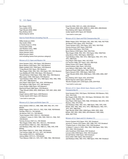Ben Hogan (1953) Tony Jacklin (1970) Tiger Woods (2000, 2002) Rory McIlroy (2011) Martin Kaymer (2014)

## Start-to-Finish Winners (Including Ties) (9)

Willie Anderson (1903) Alex Smith (1906) a-Charles Evans Jr. (1916) Tommy Bolt (1958) Jack Nicklaus (1972, 1980) Hubert Green (1977) Payne Stewart (1991) Retief Goosen (2001) (not including names from previous category)

#### Winners of U.S. Open and Masters (16)

Gene Sarazen (1922, 1932 Open; 1935 Masters) Byron Nelson (1939 Open; 1937, 1942 Masters) Ralph Guldahl (1937, 1938 Open; 1939 Masters) \*Craig Wood (1941 Open; 1941 Masters) \*Ben Hogan (1948, 1950, 1951, 1953 Open; 1951, 1953 Masters) Cary Middlecoff (1949, 1956 Open; 1955 Masters) \*Arnold Palmer (1960 Open; 1958, 1960, 1962, 1964 Masters) Billy Casper (1959, 1966 Open; 1970 Masters) \*Jack Nicklaus (1962, 1967, 1972, 1980 Open; 1963, 1965, 1966, 1972, 1975, 1986 Masters) Gary Player (1965 Open; 1961, 1974, 1978 Masters) Tom Watson (1982 Open; 1977, 1981 Masters) Fuzzy Zoeller (1984 Open; 1979 Masters) Raymond Floyd (1986 Open; 1976 Masters) \*Tiger Woods (2000, 2002, 2008 Open; 1997, 2001, 2002, 2005 Masters) Angel Cabrera (2007 Open; 2009 Masters) \*Jordan Spieth (2015 Open; 2015 Masters)

\* won both in same year

Winners of U.S. Open and British Open (19)

Harry Vardon (1900 U.S.; 1896, 1898, 1899, 1903, 1911, 1914 British) Walter Hagen (1914, 1919 U.S.; 1922, 1924, 1928, 1929 British) Ted Ray (1920 U.S.; 1912 British) Jim Barnes (1921 U.S.; 1925 British) \*Gene Sarazen (1922, 1932 U.S.; 1932 British) \*a-Robert T. Jones Jr. (1923, 1926, 1929, 1930 U.S.; 1926, 1927, 1930 British) Tommy Armour (1927 U.S.; 1931 British) \*Ben Hogan (1948, 1950, 1951, 1953 U.S.; 1953 British) Arnold Palmer (1960 U.S.; 1961, 1962 British) Jack Nicklaus (1962, 1967, 1972, 1980 U.S.; 1966, 1970, 1978 British) Gary Player (1965 U.S.; 1959, 1968, 1974 British) \*Lee Trevino (1968, 1971 U.S.; 1971, 1972 British) Tony Jacklin (1970 U.S.; 1969 British) Johnny Miller (1973 U.S.; 1976 British) \*Tom Watson (1982 U.S.; 1975, 1977, 1980, 1982, 1983 British)

Ernie Els (1994, 1997, U.S.; 2002, 2012 British) \*Tiger Woods (2000, 2002, 2008 U.S.; 2000, 2005, 2006 British) Rory McIlroy (2011 Open; 2014 British) Jordan Spieth (2015 Open; 2017 British)

\* won both in same year

#### Winners of U.S. Open and PGA Championship (20)

Walter Hagen (1914, 1919 Open; 1921, 1924, 1925, 1926, 1927 PGA) Jim Barnes (1921 Open; 1916, 1919 PGA) \*Gene Sarazen (1922, 1932 Open; 1922, 1923, 1933 PGA) Tommy Armour (1927 Open; 1930 PGA) Olin Dutra (1934 Open; 1932 PGA) Byron Nelson (1939 Open; 1940, 1945 PGA) \*Ben Hogan (1948, 1950, 1951, 1953 Open; 1946, 1948 PGA) Julius Boros (1952, 1963 Open; 1968 PGA) \*Jack Nicklaus (1962, 1967, 1972, 1980 Open; 1963, 1971, 1973, 1975, 1980 PGA) Gary Player (1965 Open; 1962, 1972 PGA) Lee Trevino (1968, 1971 Open; 1974, 1984 PGA) Hubert Green (1977 Open; 1985 PGA) David Graham (1981 Open; 1979 PGA) Larry Nelson (1983 Open; 1981, 1987 PGA) Raymond Floyd (1986 Open; 1969, 1982 PGA) Payne Stewart (1991, 1999 Open; 1989 PGA) \*Tiger Woods (2000, 2002, 2008 Open; 1999, 2000, 2006, 2007 PGA) Rory McIlroy (2011 Open; 2012, 2014 PGA) Martin Kaymer (2014 Open; 2010 PGA) \*Brooks Koepka (2017, 2018 Open; 2018, 2019 PGA) \* won both in same year

## Winners of U.S. Open, British Open, Masters and PGA Championship (5)

Gene Sarazen (1922, 1932 Open; 1932 British; 1935 Masters; 1922, 1923, 1933 PGA)

Ben Hogan (1948, 1950, 1951, 1953 Open; 1953 British; 1951, 1953 Masters; 1946, 1948 PGA) Gary Player (1965 Open; 1959, 1968, 1974 British; 1961,1974, 1978 Masters; 1962, 1972 PGA) Jack Nicklaus (1962, 1967, 1972, 1980 Open; 1966, 1970, 1978 British; 1963, 1965, 1966, 1972, 1975, 1986 Masters; 1963, 1971, 1973, 1975, 1980 PGA) Tiger Woods (2000, 2002, 2008 Open; 2000, 2005, 2006 British; 1997, 2001, 2002, 2005, 2019 Masters; 1999, 2000, 2006, 2007 PGA)

#### Winners of U.S. Open and U.S. Amateur (11)

Francis Ouimet (1913 Open; 1914, 1931 Amateur) Jerome D. Travers (1915 Open; 1907, 1908, 1912, 1913 Amateur) \*Charles Evans Jr. (1916 Open; 1916, 1920 Amateur) \*a-Robert T. Jones Jr. (1923, 1926, 1929, 1930 Open; 1924, 1925, 1927, 1928, 1930 Amateur) John Goodman (1933 Open; 1937 Amateur) Lawson Little (1940 Open; 1934, 1935 Amateur) Arnold Palmer (1960 Open; 1954 Amateur) Gene Littler (1961 Open; 1953 Amateur) Jack Nicklaus (1962, 1967, 1972, 1980 Open; 1959, 1961 Amateur)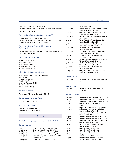| Jerry Pate (1976 Open, 1974 Amateur)<br>Tiger Woods (2000, 2002, 2008 Open; 1994, 1995, 1996 Amateur)                                    |                                                                                                                                                                                    |                                  |  |  |
|------------------------------------------------------------------------------------------------------------------------------------------|------------------------------------------------------------------------------------------------------------------------------------------------------------------------------------|----------------------------------|--|--|
| *won both in same year                                                                                                                   |                                                                                                                                                                                    | 7,514                            |  |  |
|                                                                                                                                          | Winners of U.S. Open and U.S. Junior Amateur (3)                                                                                                                                   | 7,497                            |  |  |
| Johnny Miller (1973 Open; 1964 Junior)                                                                                                   | Tiger Woods (2000, 2002, 2008 Open; 1991, 1992, 1993 Junior)<br>Jordan Spieth (2015 Open; 2009, 2011 Junior)                                                                       | 7,476<br>7,452                   |  |  |
| <b>U.S. Open (1)</b>                                                                                                                     | Winner of U.S. Junior Amateur, U.S. Amateur and                                                                                                                                    | 7,448                            |  |  |
| 2000, 2002, 2008 Open)                                                                                                                   | Tiger Woods (1991, 1992, 1993 Junior; 1994, 1995, 1996 Amateur;                                                                                                                    | 7,442                            |  |  |
| Winners in their first U.S. Open (5)                                                                                                     |                                                                                                                                                                                    | 7,431                            |  |  |
| Horace Rawlins (1895)<br>Fred Herd (1898)<br>Harry Vardon (1900)<br>George Sargent (1909)<br>a-Francis Ouimet (1913)                     |                                                                                                                                                                                    | 7,428<br>7,422<br>7,421          |  |  |
|                                                                                                                                          | Champions Not Returning to Defend (7)                                                                                                                                              | 7,413                            |  |  |
| Alex Smith (1907)<br>Jerome Travers (1916)<br>Ted Ray (1921)<br>a-Robert T. Jones Jr. (1931)<br>Ben Hogan (1949)<br>Payne Stewart (2000) | Harry Vardon (1901 after winning in 1900)                                                                                                                                          | Short<br>4,423<br>Since          |  |  |
|                                                                                                                                          |                                                                                                                                                                                    | 6,544                            |  |  |
| <b>Brother Champions</b>                                                                                                                 |                                                                                                                                                                                    |                                  |  |  |
|                                                                                                                                          | Willie Smith (1899) and Alex Smith (1906, 1910)                                                                                                                                    | Long                             |  |  |
| Longest Span, First to Last Victory                                                                                                      |                                                                                                                                                                                    | 300 y<br>299 y                   |  |  |
| 18 years Jack Nicklaus (1962-80)                                                                                                         |                                                                                                                                                                                    | 281 y<br>281 y                   |  |  |
| Longest Span Between Victories                                                                                                           |                                                                                                                                                                                    |                                  |  |  |
| 11 years<br>11 years Hale Irwin (1979-90)                                                                                                | Julius Boros (1952-63)                                                                                                                                                             | 279 y<br>266 y                   |  |  |
|                                                                                                                                          |                                                                                                                                                                                    | 264 y                            |  |  |
|                                                                                                                                          | Course                                                                                                                                                                             | 261 y<br>258 y                   |  |  |
|                                                                                                                                          | NOTE: Daily hole yardages came into use starting in 2007.                                                                                                                          | 256 y                            |  |  |
| <b>Longest Courses</b>                                                                                                                   |                                                                                                                                                                                    | 254 y                            |  |  |
| 7,845 yards<br>7,839 yards<br>7,818 yards<br>7,721 yards                                                                                 | Erin Hills, first round, Erin, Wis., 2017<br>Erin Hills, second round, Erin, Wis., 2017<br>Erin Hills, third round, Erin, Wis., 2017<br>Erin Hills, fourth round, Erin, Wis., 2017 | 253 y<br>253 y<br>253 y<br>252 y |  |  |

| 7,845 yards | Erin Hills, first round, Erin, Wis., 2017  |
|-------------|--------------------------------------------|
| 7,839 yards | Erin Hills, second round, Erin, Wis., 2017 |
| 7,818 yards | Erin Hills, third round, Erin, Wis., 2017  |
| 7,721 yards | Erin Hills, fourth round, Erin, Wis., 2017 |
| 7,695 yards | Chambers Bay, second round, University     |
|             | Place, Wash., 2015                         |
| 7,637 yards | Chambers Bay, third round, University      |
|             |                                            |

| 7,603 yards            | Place, Wash., 2015<br>Torrey Pines G.C. (South Course), second                             |
|------------------------|--------------------------------------------------------------------------------------------|
|                        | round, San Diego, Calif., 2008                                                             |
| 7,514 yards            | Congressional C.C. (Blue Course), first                                                    |
|                        | round, Bethesda, Md., 2011                                                                 |
| 7,497 yards            | Chambers Bay, first round, University Place,                                               |
|                        | Wash., 2015                                                                                |
| 7,476 yards            | Torrey Pines G.C. (South Course), first<br>round, San Diego, Calif., 2008                  |
| 7,452 yards            | Congressional C.C. (Blue Course), fourth                                                   |
|                        | round, Bethesda, Md., 2011                                                                 |
| 7,448 yards            | Shinnecock Hills G.C., first round,                                                        |
|                        | Southampton, N.Y., 2018                                                                    |
| 7,442 yards            | Torrey Pines G.C. (South Course), third                                                    |
| 7,431 yards            | round, San Diego, Calif., 2008<br>Shinnecock Hills G.C., fourth round,                     |
|                        | Southampton, N.Y., 2018                                                                    |
| 7,428 yards            | Pinehurst R. & C.C. (No. 2), second round,                                                 |
|                        | Village of Pinehurst, N.C., 2014                                                           |
| 7,422 yards            | Pinehurst R. & C.C. (No. 2), third round,                                                  |
| 7,421 yards            | Village of Pinehurst, N.C., 2014<br>Shinnecock Hills G.C., thirdround,                     |
|                        | Southampton, N.Y., 2018                                                                    |
| 7,413 yards            | Congressional C.C. (Blue Course), third                                                    |
|                        | round, Bethesda, Md., 2011                                                                 |
|                        |                                                                                            |
| <b>Shortest Course</b> |                                                                                            |
| 4,423 yards            | Shinnecock Hills G.C., Southampton, N.Y.,                                                  |
|                        | 1896                                                                                       |
|                        |                                                                                            |
| Since World War II     |                                                                                            |
| $6,544$ yards          | Merion G.C. (East Course), Ardmore, Pa.<br>(1971, 1981)                                    |
|                        |                                                                                            |
| Longest Par-3 Holes    |                                                                                            |
| 300 yards              | 8th, fourth round, Oakmont (Pa.) C.C., 2007                                                |
| 299 yards              | 8th, fourth round, Oakmont (Pa.) C.C., 2016                                                |
| 281 yards              | 8th, second round, Oakmont (Pa.) C.C., 2007                                                |
| 281 yards              | 8th, second round, Oakmont (Pa.) C.C.,                                                     |
|                        | 2016                                                                                       |
| 279 yards              | 8th, third round, Oakmont (Pa.) C.C., 2007<br>3rd, fourth round, Merion G.C. (East         |
| 266 yards              | Course), Ardmore, Pa., 2013                                                                |
| 264 yards              | 2nd, fourth round, Shinnecock Hills G.C.,                                                  |
|                        | Southampton, N.Y., 2018                                                                    |
| 261 yards              | 8th, first round, Oakmont (Pa.) C.C., 2007                                                 |
| 258 yards              | 8th, first round, Oakmont (Pa.) C.C., 2016                                                 |
| 256 yards              | 3rd, third round, The Olympic Club (Lake                                                   |
| 254 yards              | Course), San Francisco, Calif., 2012<br>17th, third round, Merion G.C. (East               |
|                        |                                                                                            |
| 253 yards              |                                                                                            |
|                        | Course), Ardmore, Pa.), 2013<br>8th, Oakmont (Pa.) C.C., 1927                              |
| 253 yards              | 8th, Oakmont (Pa.) C.C., 1935                                                              |
| 253 yards              | 8th, Oakmont (Pa.) C.C., 1962                                                              |
| 252 yards              | 15th, third round, Chambers Bays,                                                          |
|                        | University Place, Wash., 2015                                                              |
| 252 yards<br>252 yards | 6th, first round, Erin Hills, Erin, Wis., 2017<br>2nd, first round, Shinnecock Hills G.C., |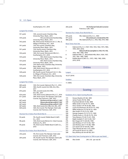# Southampton, N.Y., 2018

| Longest Par-4 Holes |                                                |  |
|---------------------|------------------------------------------------|--|
| 551 yards           | 13th, second round, Chambers Bay,              |  |
|                     | University Place, Wash., 2015                  |  |
| 544 yards           | 11th, secondround, Chambers Bay,               |  |
|                     | University Place, Wash., 2015                  |  |
| 542 yards           | 4th, third round, Pinehurst R. & C.C. (No. 2), |  |
|                     | Village of Pinehurst, N.C., 2014               |  |
| 541 yards           | 11th, first round, Chambers Bay,               |  |
|                     | University Place, Wash., 2015                  |  |
| 541 yards           | 11th, fourth round, Chambers Bay,              |  |
|                     | University Place, Wash., 2015                  |  |
| 536 yards           | 14th, first round, Shinnecock Hills G.C.,      |  |
|                     | Southampton, N.Y., 2018                        |  |
| 534 yards           | 14th, third round, Chambers Bay,               |  |
|                     | University Place, Wash., 2015                  |  |
| 533 yards           | 13th, third round, Chambers Bay,               |  |
|                     | University Place, Wash., 2015                  |  |
| 530 yards           | 11th, third round, Chambers Bay, University    |  |
|                     | Place, Wash., 2015                             |  |
| 529 yards           | 14th, third round, Shinnecock Hills G.C.,      |  |
|                     | Southampton, N.Y., 2018                        |  |
| 528 yards           | 4th, fourth round, Pinehurst R. & C.C. (No.    |  |
|                     | 2), Village of Pinehurst, N.C., 2014           |  |
| 528 yards           | 14th, first round, Chambers Bay, University    |  |
|                     | Place, Wash., 2015                             |  |

# Longest Par-5 Holes

| 12th, first round, Oakmont (Pa.) C.C., 2016     |
|-------------------------------------------------|
| 18th, fourth round, Erin Hills, Erin, Wis.,     |
| 2017                                            |
| 18th, second round, Erin Hills,                 |
| Erin, Wis., 2017                                |
| 12th, third round, Oakmont (Pa.) C.C., 2016     |
| 16th, third round, The Olympic Club (Lake       |
| Course), San Francisco, Calif., 2012            |
| 12th,firstround,Oakmont(Pa.)C.C.,2007           |
| 12th,secondround,Oakmont(Pa.)C.C.,2007          |
| 12th.fourthround.Oakmont(Pa.)C.C.,2007          |
| 18th, third round, Erin Hills, Erin, Wis., 2017 |
| 16th, first round, The Olympic Club (Lake       |
| Course), San Francisco, Calif., 2012            |
|                                                 |

# Shortest Par-3 Holes (Post-World War II)

| 92 yards | 7th, fourth round, Pebble Beach (Calif.)              |
|----------|-------------------------------------------------------|
|          | G.L., 2010                                            |
| 98 yards | 13th, third round, Merion G.C. (East Course),         |
|          | Ardmore, Pa., 2013                                    |
| 99 yards | 7th, third round, Pebble Beach (Calif.) G.L.,<br>2010 |
|          |                                                       |

# Shortest Par-4 Holes (Post-World War II)

| 256 yards | 7th, first round, The Olympic Club (Lake  |
|-----------|-------------------------------------------|
|           | Course), San Francisco, Calif., 2012      |
| 264 yards | 7th, fourth round, The Olympic Club (Lake |
|           | Course), San Francisco, Calif., 2012      |

| 266 yards                                                               | 7th,TheOlympicClub(LakeCourse),San<br>Francisco, Calif., 1955                                                              |  |
|-------------------------------------------------------------------------|----------------------------------------------------------------------------------------------------------------------------|--|
|                                                                         | Shortest Par-5 Holes (Post-World War II)                                                                                   |  |
| 474 yards<br>477 yards<br>480 yards                                     | 9th, Oakmont (Pa.) C.C., 1994<br>6th,CanterburyG.C.,Cleveland,Ohio,1946<br>9th, Oakmont (Pa.) C.C., 1953, 1962, 1973, 1983 |  |
|                                                                         | <b>Most Times Host Site</b>                                                                                                |  |
| 9                                                                       | Oakmont (Pa.) C.C. (1927, 1935, 1953, 1962, 1973, 1983,<br>1994, 2007, 2016)                                               |  |
| 7                                                                       | Baltusrol Golf Club, Springfield, N.J. (1903, 1915, 1936,<br>1954, 1967, 1980, 1993)                                       |  |
| 6                                                                       | Oakland Hills C.C., Bloomfield Hills, Mich. (1924, 1937,<br>1951, 1961, 1985, 1996)                                        |  |
| Pebble Beach (Calif.) G.L. (1972, 1982, 1982, 2000,<br>6<br>2010, 2019) |                                                                                                                            |  |
|                                                                         | Fntries                                                                                                                    |  |

# Entries

Largest

10,127 (2014)

```
Smallest
```
11 (1895)

# **Scoring**

# Evolution of U.S. Open Scoring Records

| 173 | Horace Rawlins (91-82), 1895            |
|-----|-----------------------------------------|
| 152 | James Foulis (78-74), 1896              |
| 328 | Fred Herd (84-85-75-84), 1898           |
| 315 | Willie Smith (77-82-79-77), 1899        |
| 313 | Harry Vardon (79-78-76-80), 1900        |
| 307 | Laurie Auchterlonie (78-78-74-77), 1902 |
| 303 | Willie Anderson (75-78-78-72), 1904     |
| 295 | Alex Smith (73-74-73-75), 1906          |
| 290 | George Sargent (75-72-72-71), 1909      |
| 286 | Charles Evans Jr. (70-69-74-73), 1916   |
| 282 | Tony Manero (73-69-73-67), 1936         |
| 281 | Ralph Guldahl (71-69-72-69), 1937       |
| 276 | Ben Hogan (67-72-68-69), 1948           |
| 275 | Jack Nicklaus (71-67-72-65), 1967       |
| 272 | Jack Nicklaus (63-71-70-68), 1980       |
| 272 | Lee Janzen (67-67-69-69), 1993          |
| 272 | Tiger Woods (65-69-71-67), 2000         |
| 272 | Jim Furyk (67-66-67-72), 2003           |
| 268 | Rory McIlroy (65-66-68-69), 2011        |

# U.S. Open Early Years Scoring (prior to 1906 no par was listed)

| 1906 | Alex Smith |  | 295 (-33) par was 82 |
|------|------------|--|----------------------|
|------|------------|--|----------------------|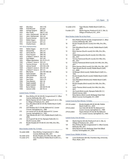| 1907 | Alex Ross                 | $302 (+10)$          |
|------|---------------------------|----------------------|
| 1908 | <b>Fred McLeod</b>        | (no par)             |
| 1909 | George Sargent            | $288 (+2)$           |
| 1910 | Alex Smith                | $298-71 (+6)$        |
| 1911 | John J. McDermott         | $307 - 80 (+3)$      |
| 1912 | John J. McDermott         | $294 (+6)$           |
| 1913 | <b>Francis Ouimet</b>     | 304-72 (+8)          |
| 1914 | Walter Hagen              | 290 (+2)             |
| 1915 | Jerome Travers            | $297 (+1)$           |
| 1916 | <b>Charles Evans</b>      | $286 (+2)$           |
|      | 1917-18 no championships  |                      |
| 1919 | Walter Hagen              | $301 - 77 (+17)$     |
| 1920 | <b>Edward Ray</b>         | $295 (+7)$           |
| 1921 | James Barnes              | $289 (+9)$           |
| 1922 | Gene Sarazen              | $288 (+8)$           |
| 1923 | a-Robert T. Jones Jr.     | $296 (+8)$           |
| 1924 | Cyril Walker              | 297 (+9)             |
| 1925 | <b>William Macfarlane</b> | 291-75-72 (+7)       |
| 1926 | a-Robert T. Jones Jr.     | $293 (+5)$           |
| 1927 | <b>Tommy Armour</b>       | $301 - 76 (+13)$     |
| 1928 | Johnny Farrell            | 294-143 (+10)        |
| 1929 | a-Robert T. Jones Jr.     | 294-141 (+6)         |
| 1930 | a-Robert T. Jones Jr.     | $287 (+1)$           |
| 1931 | <b>Billy Burke</b>        | 292-149-148 (+8)     |
| 1932 | Gene Sarazen              | $286 (+6)$           |
| 1933 | John Goodman              | $287(-1)$            |
| 1934 | Olin Dutra                | 293 (+13)            |
| 1935 | Sam Parks                 | 299 (+11)            |
| 1936 | <b>Tony Manero</b>        | $282(-6)$            |
| 1937 | Ralph Guldahl             | 281 (-7)             |
| 1938 | Ralph Guldahl             | 284 (E)              |
| 1939 | <b>Byron Nelson</b>       | $284 - 68 - 70 (+8)$ |
| 1940 | Lawson Little             | 287-70 (-1)          |

# Lowest Score, 72 Holes

- 268 Rory McIlroy (65-66-68-69), Congressional C.C. (Blue Course), Bethesda, Md., 2011
- 271 Martin Kaymer (65-65-72-69), Pinehurst R. & C.C. (No. 2), Village of Pinehurst, N.C., 2014
- 271 Gary Woodland (68-65-69-69), Pebble Beach (Calif.) G.L., 2019
- 272 Jack Nicklaus (63-71-70-68), Baltusrol G.C. (Lower Course), Springfield, N.J., 1980
- 272 Lee Janzen (67-67-69-69), Baltusrol G.C. (Lower Course), Springfield, N.J., 1993
- 272 Tiger Woods (65-69-71-67), Pebble Beach (Calif.) G.L., 2000
- 272 Jim Furyk (67-66-67-72), Olympia Fields (Ill.) C.C. (North Course), 2003
- 272 Brooks Koepka (67-70-68-67), Erin Hills, Erin, Wis., 2017

#### Most Strokes Under Par, 72 Holes

| 16 under (268) | Rory McIlroy, Congressional C.C. (Blue      |
|----------------|---------------------------------------------|
|                | Course), Bethesda, Md., 2011                |
| 16 under (272) | Brooks Koepka, Erin Hills, Erin, Wis., 2017 |
| 13 under (271) | Gary Woodland, Pebble Beach (Calif.) G.L.,  |
|                | 2019                                        |

| 12 under (272)                                        |                                                                                                               | Tiger Woods, Pebble Beach (Calif.) G.L.,<br>2000                                      |  |
|-------------------------------------------------------|---------------------------------------------------------------------------------------------------------------|---------------------------------------------------------------------------------------|--|
| 9 under (271)                                         |                                                                                                               | Martin Kaymer, Pinehurst R. & C.C. (No. 2),<br>Village of Pinehurst, N.C., 2014       |  |
|                                                       |                                                                                                               | Most Strokes Under Par at Any Point                                                   |  |
|                                                       |                                                                                                               |                                                                                       |  |
| 17                                                    |                                                                                                               | Rory McIlroy (fourth round), Congressional C.C. (Blue<br>Course), Bethesda, Md., 2011 |  |
| 16                                                    | 2017                                                                                                          | Brooks Koepka (fourth round), Erin Hills, Erin, Wis.,                                 |  |
| 13                                                    |                                                                                                               | Gary Woodland (fourth round), Pebble Beach (Calif.)                                   |  |
| 13                                                    | 2017                                                                                                          | G.L., 2019<br>Brian Harman (fourth round), Erin Hills, Erin, Wis.,                    |  |
| 12                                                    | Wis., 2017                                                                                                    | Hideki Matsuyama (fourth round), Erin Hills, Erin,                                    |  |
| 12                                                    |                                                                                                               | Tommy Fleetwood (fourth round), Erin Hills, Erin,                                     |  |
| 12                                                    |                                                                                                               | Wis., 2017<br>Tommy Fleetwood (third round), Erin Hills, Erin, Wis.,                  |  |
|                                                       |                                                                                                               | 2017                                                                                  |  |
| 12<br>12                                              | Brian Harman (third round), Erin Hills, Erin, Wis., 2017<br>Tiger Woods (fourth round), Pebble Beach (Calif.) |                                                                                       |  |
| 12                                                    | G.L., 2000<br>Gil Morgan (third round), Pebble Beach (Calif.) G.L.,                                           |                                                                                       |  |
| 11                                                    | 1992<br>Brooks Koepka (fourth round), Pebble Beach (Calif.)                                                   |                                                                                       |  |
| 11                                                    |                                                                                                               | G.L., 2019<br>Gary Woodland (thirdround), Pebble Beach (Calif.)                       |  |
| 11                                                    | G.L., 2019<br>Brooks Koepka (third round), Erin Hills, Erin, Wis.,                                            |                                                                                       |  |
| 11                                                    | 2017<br>Justin Thomas (third round), Erin Hills, Erin, Wis.,                                                  |                                                                                       |  |
| 11                                                    | 2017                                                                                                          |                                                                                       |  |
|                                                       | Jim Furyk (third round), Olympia Fields (III.) C.C.<br>(North Course), 2003                                   |                                                                                       |  |
| 11<br>Ricky Barnes (third round), Bethpage State Park |                                                                                                               |                                                                                       |  |
|                                                       |                                                                                                               | (Black Course), Farmingdale, N.Y., 2009                                               |  |
|                                                       |                                                                                                               | Lowest Score by Non-Winner, 72 Holes                                                  |  |
|                                                       |                                                                                                               |                                                                                       |  |
| 274 (10 under)                                        |                                                                                                               | Brooks Koepka (69-69-68-68), Pebble<br>Beach (Calif) G.L. 2019                        |  |

|               | Beach (Calif.) G.L., 2019                    |
|---------------|----------------------------------------------|
| 274 (6 under) | Isao Aoki (68-68-68-70), Baltusrol G.C.      |
|               | (Lower Course), Springfield, N.J., 1980      |
| 274 (6 under) | Payne Stewart (70-66-68-70), Baltusrol       |
|               | G.C. (Lower Course), Springfield, N.J., 1993 |

# Lowest Score, First 36 Holes

- 130 Martin Kaymer (65-65), Pinehurst R. & C.C. (No. 2), Village of Pinehurst, N.C., 2014
- 131 Rory McIlroy (65-66), Congressional C.C. (Blue Course), Bethesda, Md., 2011
- 132 Ricky Barnes (67-65), Bethpage State Park (Black Course), Farmingdale, N.Y., 2009

#### Lowest Score, Middle 36 Holes

132 Louis Oosthuizen (66-66), Chambers Bay, University Place, Wash., 2015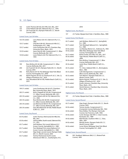- 132 Justin Thomas (69-63), Erin Hills, Erin, Wis., 2017<br>133 Loren Roberts (69-64), Oakmont (Pa.) C.C., 1994
- Loren Roberts (69-64), Oakmont (Pa.) C.C., 1994
- 133 Jim Furyk (66-67), Olympia Fields (Ill.) C.C. (North Course), 2003
- Lowest Score, Last 36 Holes

| 132 (10 under) | Larry Nelson (65-67), Oakmont (Pa.) C.C.,<br>1983                           |
|----------------|-----------------------------------------------------------------------------|
| 133 (7 under)  | Chip Beck (68-65), Shinnecock Hills G.C.,<br>Southampton, N.Y., 1986        |
| 133 (7 under)  | Louis Oosthuizen (66-67), Chambers Bay,<br>University Place, Wash., 2015    |
| 133 (9 under)  | Jason Day (65-68), Congressional C.C. (Blue<br>Course), Bethesda, Md., 2011 |
| 134 (8 under)  | Loren Roberts (64-70), Oakmont (Pa.) C.C.,<br>1994                          |

# Lowest Score, First 54 Holes

| 199 |                             | Rory McIlroy (65-66-68), Congressional C.C. (Blue<br>Course), Bethesda, Md., 2011          |
|-----|-----------------------------|--------------------------------------------------------------------------------------------|
| 200 |                             | Jim Furyk (67-66-67), Olympia Fields (III.) C.C. (North                                    |
|     | Course), 2003               |                                                                                            |
| 202 |                             | Ricky Barnes (67-65-70), Bethpage State Park (Black<br>Course), Farmingdale, N.Y., 2009    |
| 202 |                             | Martin Kaymer (65-65-72), Pinehurst R. & C.C. (No. 2),<br>Village of Pinehurst, N.C., 2014 |
| 202 | 2019                        | Gary Woodland (68-65-69), Pebble Beach (Calif.) G.L.,                                      |
|     | Lowest Score, Last 54 Holes |                                                                                            |
|     | 199 (11 under)              | Louis Oosthuizen (66-66-67), Chambers<br>Bay, University Place, Wash., 2015                |

| 202 (11 under) | Kevin Chappell (67-69-66), Congressional |
|----------------|------------------------------------------|
|                | C.C. (Blue Course), Bethesda, Md., 2011  |
| 203 (10 under) | Loren Roberts (69-64-70), Oakmont (Pa.)  |
|                | C.C., 1994                               |
| 203 (10 under) | Rory McIlroy (66-68-69), Congressional   |
|                | C.C. (Blue Course), Bethesda, Md., 2011  |
| 203 (10 under) | Lee Westwood (68-65-70), Congressional   |
|                | C.C. (Blue Course), Bethesda, Md., 2011  |
| 203 (10 under) | Gary Woodland (65-69-69), Pebble Beach   |
|                | (Calif.) G.L., 2019                      |

# Lowest Score, Any Round

| 63 (9 under) | Justin Thomas, third round, Erin Hills, Erin, |
|--------------|-----------------------------------------------|
|              | Wis., 2017                                    |
| 63 (8 under) | Johnny Miller, fourth round, Oakmont (Pa.)    |
|              | C.C., 1973                                    |
| 63 (7 under) | Jack Nicklaus, first round, Baltusrol G.C.    |
|              | (Lower Course), Springfield, N.J., 1980       |
| 63 (7 under) | Tom Weiskopf, first round, Baltusrol G.C.     |
|              | (Lower Course), Springfield, N.J., 1980       |
| 63 (7 under) | Vijay Singh, second round, Olympia Fields     |
|              | (III.) C.C. (North Course), 2003              |
| 63 (7 under) | Tommy Fleetwood, fourth round,                |
|              | Shinnecock Hills G.C., Southampton, N.Y.,     |

# 2018

# Highest Score, Any Round

# 157 J.D. Tucker, Myopia Hunt Club, S. Hamilton, Mass., 1898

# Lowest Score, First Round

| 63 (7 under) | Jack Nicklaus, Baltusrol G.C., Springfield,<br>N.J., 1980                       |
|--------------|---------------------------------------------------------------------------------|
| 63 (7 under) | Tom Weiskopf, Baltusrol G.C., Springfield,<br>N.J., 1980                        |
| 64 (6 under) | Lee Mackey, Merion G.C., Ardmore, Pa., 1950                                     |
| 64 (6 under) | Mike Weir, Bethpage State Park (Black<br>Course), Farmingdale, N.Y., 2009       |
| 65 (7 under) | Rickie Fowler, Erin Hills, Erin, Wis., 2017                                     |
| 65 (6 under) | Tiger Woods, Pebble Beach (Calif.) G.L.,<br>2000                                |
| 65 (6 under) | Rory McIlroy, Congressional C.C. (Blue<br>Course), Bethesda, Md., 2011          |
| 65 (6 under) | Justin Rose, Pebble Beach (Calif.) G.L.,<br>2019                                |
| 65 (5 under) | T.C. Chen, Oakland Hills C.C., Birmingham,<br>Mich., 1985                       |
| 65 (5 under) | Colin Montgomerie, Congressional C.C.<br>(Blue Course), Bethesda, Md., 1997     |
| 65 (5 under) | Tom Watson, Olympia Fields (III.) C.C.<br>(North Course), 2003                  |
| 65 (5 under) | Martin Kaymer, Pinehurst R. & C.C. (No. 2),<br>Village of Pinehurst, N.C., 2014 |
| 65 (5 under) | Dustin Johnson, Chambers Bay, University<br>Place, Wash., 2015                  |
| 65 (5 under) | Henrik Stenson, Chambers Bay, University<br>Place, Wash., 2015                  |

# Highest Score, First Round

157 J.D. Tucker, Myopia Hunt Club, S. Hamilton, Mass., 1898

# Lowest Score, Second Round

| 63 (7 under) | Vijay Singh, Olympia Fields (III.) C.C. (North |
|--------------|------------------------------------------------|
|              | Course), 2003                                  |
| 64 (6 under) | Tommy Jacobs, Congressional C.C.               |
|              | (Composite Course), Bethesda, Md., 1964        |
| 64 (6 under) | Rives McBee, The Olympic Club (Lake            |
|              | Course), San Francisco, Calif., 1966           |
| 64 (6 under) | Curtis Strange, Oak Hill C.C. (East Course),   |
|              | Rochester, N.Y., 1989                          |
| 64 (6 under) | Mark Brooks, Southern Hills C.C., Tulsa,       |
|              | Okla., 2001                                    |
| 64 (6 under) | Woody Austin, Olympia Fields (Ill.) C.C.       |
|              | (North Course), 2003                           |
| 64 (6 under) | Lucas Glover, Bethpage State Park (Black       |
|              | Course), Farmingdale, N.Y., 2009               |

# Highest Score, Second Round

<sup>106</sup> W.E. Stoddard, Baltimore (Md.) C.C. (Roland Park Course), 1899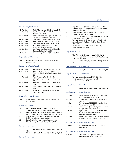#### Lowest Score, Third Round

| 63 (7 under) | Justin Thomas, Erin Hills, Erin, Wis., 2017 |
|--------------|---------------------------------------------|
| 64 (6 under) | Ben Crenshaw, Merion G.C. (East Course),    |
|              | Ardmore, Pa., 1981                          |
| 64 (6 under) | Keith Clearwater, The Olympic Club (Lake    |
|              | Course), San Francisco, Calif., 1987        |
| 64 (7 under) | Loren Roberts, Oakmont (Pa) C.C., 1994      |
| 65 (7 under) | Patrick Reed, Erin Hills, Erin, Wis., 2017  |
| 65 (6 under) | Larry Nelson, Oakmont (Pa) C.C., 1983       |
| 65 (6 under) | Jason Day, Congressional C.C. (Blue         |
|              | Course), Bethesda, Md., 2011                |
| 65 (6 under) | Lee Westwood, Congressional C.C. (Blue      |
|              | Course), Bethesda, Md., 2011                |
| 65 (6 under) | Shane Lowry, Oakmont (Pa.) C.C., 2016       |

#### Highest Score, Third Round

110 O. McCammon, Baltimore (Md.) C.C. (Roland Park Course), 1899

#### Lowest Score, Fourth Round

| 63 (8 under) | Johnny Miller, Oakmont (Pa.) C.C., 1973 (won)           |
|--------------|---------------------------------------------------------|
| 63 (7 under) | Tommy Fleetwood, fourth round,                          |
|              | Shinnecock Hills G.C., Southampton, N.Y.,               |
|              | 2018                                                    |
| 64 (7 under) | Peter Jacobsen, The Country Club                        |
|              | (Championship Course), Brookline, Mass.,<br>1988        |
| 64 (6 under) | Tom Kite, Southern Hills C.C., Tulsa, Okla.,            |
|              | 2001                                                    |
| 64 (6 under) | Vijay Singh, Southern Hills C.C., Tulsa, Okla.,<br>2001 |
| 64 (6 under) | Adam Scott, Chambers Bay, University                    |
|              | Place, Wash., 2015                                      |

#### Highest Score, Fourth Round

116 O. McCammon, Baltimore (Md.) C.C. (Roland Park Course), 1899

#### Lowest Score, 9 Holes

| 29 | Neal Lancaster, fourth round, second nine,         |
|----|----------------------------------------------------|
|    | Shinnecock Hills G.C., Southampton, N.Y., 1995     |
| 29 | Neal Lancaster, second round, second nine, Oakland |

- Hills C.C. (South Course), Bloomfield Hills, Mich., 1996 29 Vijay Singh, second round, second nine, Olympia
- Fields (Ill.) C.C. (North Course), 2003 29 Louis Oosthuizen, fourth round, second nine, Chambers Bay, University Place, Wash., 2015

#### Largest 18-Hole Lead

| 5 | TommyArmour(68),NorthShoreC.C.,Glenview,Ill.,            |
|---|----------------------------------------------------------|
|   | 1933                                                     |
| 4 | Olin Dutra (69), Fresh Meadow C.C., Flushing, N.Y., 1932 |
|   |                                                          |

Largest 36-Hole Lead

- 6 Tiger Woods (134), Pebble Beach (Calif.) G.L., 2000
- 6 Rory McIlroy (131), Congressional C.C. (Blue Course), Bethesda, Md., 2011
- 6 Martin Kaymer (130), Pinehurst R. & C.C. (No. 2), Village of Pinehurst, N.C., 2014
- 5 Willie Anderson (149), Baltusrol G.C. (Original Course), Springfield, N.J., 1903
- 4 Tom McNamara (142), Englewood (N.J.) G.C., 1909
- 4 James Barnes (144), Columbia C.C., Chevy Chase, Md., 1921
- 4 Dustin Johnson (136), Shinnecock Hills G.C., Southampton, N.Y., 2018

#### Largest 54-Hole Lead

- 10 Tiger Woods (205), Pebble Beach (Calif.) G.L., 2000 8 Rory McIlroy (199), Congressional C.C. (Blue Course), Bethesda, Md., 2011
- 7 James Barnes (217), Columbia C.C., Chevy Chase, Md., 1921

#### Largest 18-Hole Lead, Non-Winner

Largest 36-Hole Lead, Non-Winner

- 4 Tom McNamara, Englewood (N.J.) G.C., 1909
- 4 Dustin Johnson, Shinnecock Hills G.C., Southampton, N.Y., 2018

#### Largest 54-Hole Lead, Non-Winner

|  | MikeBrady,BraeBurnC.C.,WestNewton,Mass.,1919 |  |
|--|----------------------------------------------|--|
|--|----------------------------------------------|--|

Best Comeback by Winner, Final Round

| 7 strokes | Arnold Palmer (72-71-72-65), Cherry Hills<br>C.C., Englewood, Colo., 1960                              |
|-----------|--------------------------------------------------------------------------------------------------------|
| 6 strokes | Johnny Miller (71-69-76-63), Oakmont (Pa.)<br>C.C., 1973                                               |
| 5 strokes | Walter Hagen (78-73-75-75), Brae Burn C.C.,<br>West Newton, Mass, 1919                                 |
| 5 strokes | Johnny Farrell (77-74-71-72), Olympia Fields<br>C.C. (No. 4 Course), Matteson, Ill., 1928              |
| 5 strokes | Byron Nelson (72-73-71-68), Philadelphia<br>C.C. (Spring Mill Course), West<br>Conshohocken, Pa., 1939 |
| 5 strokes | Lee Janzen (73-66-73-68), The Olympic Club<br>(Lake Course), San Francisco, Calif., 1998               |

Best Comeback by Winner, Final 36 Holes

11 strokes Lou Graham, Medinah (Ill.) C.C. (No. 3 Course), 1975

Best Comeback by Winner, Final 54 Holes

9 strokes Jack Fleck, The Olympic Club (Lake Course), San Francisco, Calif., 1955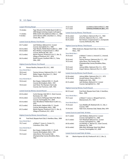| <b>Largest Winning Margin</b>        |                                                                                               |  |  |  |
|--------------------------------------|-----------------------------------------------------------------------------------------------|--|--|--|
| 15 strokes                           | Tiger Woods (272), Pebble Beach (Calif.) G.L.,<br>2000 (largest winning margin in all majors) |  |  |  |
| 11 strokes                           | Willie Smith (315), Baltimore (Md.) C.C., 1899                                                |  |  |  |
| 9 strokes                            | James Barnes (289), Columbia C.C., Chevy<br>Chase, Md., 1921                                  |  |  |  |
| Lowest Score by Winner, First Round  |                                                                                               |  |  |  |
| 63 (7 under)                         | Jack Nicklaus, Baltusrol G.C. (Lower<br>Course), Springfield, N.J., 1980                      |  |  |  |
| 65 (6 under)                         | Tiger Woods, Pebble Beach (Calif.) G.L., 2000                                                 |  |  |  |
| 65 (6 under)                         | Rory McIlroy, Congressional C.C. (Blue<br>Course), Bethesda, Md., 2011                        |  |  |  |
| 65 (5 under)                         | Martin Kaymer, Pinehurst R. & C.C. (No. 2),<br>Village of Pinehurst, N.C., 2014               |  |  |  |
| 66 (4 under)                         | Retief Goosen, Southern Hills C.C., Tulsa,<br>Okla., 2001                                     |  |  |  |
| Highest Score by Winner, First Round |                                                                                               |  |  |  |
| 91                                   | Horace Rawlins, Newport (R.I.) G.C., 1895                                                     |  |  |  |
| Since World War I:                   |                                                                                               |  |  |  |
| 78 (6 over)                          | Tommy Armour, Oakmont (Pa.) C.C., 1927                                                        |  |  |  |
| 78 (7 over)                          | Walter Hagen, Brae Burn C.C., West<br>Newton, Mass., 1919                                     |  |  |  |
| Since World War II:                  |                                                                                               |  |  |  |
| 76 (6 over)                          | Ben Hogan, Oakland Hills C.C. (South<br>Course), Birmingham, Mich., 1951                      |  |  |  |
| 76 (6 over)                          | Jack Fleck, The Olympic Club (Lake<br>Course), San Francisco, Calif., 1955                    |  |  |  |
|                                      | Lowest Score by Winner, Second Round                                                          |  |  |  |
| 64 (6 under)                         | Curtis Strange, Oak Hill C.C. (East Course),<br>Rochester, N.Y., 1989                         |  |  |  |
| 64 (6 under)                         | Lucas Glover, Bethpage State Park (Black<br>Course), Farmingdale, N.Y., 2009                  |  |  |  |
| 65 (6 under)                         | Gary Woodland, Pebble Beach (Calif.) G.L.,<br>2019                                            |  |  |  |
| 65 (5 under)                         | Andy North, Oakland Hills C.C. (South<br>Course), Birmingham, Mich., 1985                     |  |  |  |
| 65 (5 under)                         | Martin Kaymer, Pinehurst R. & C.C. (No. 2),<br>Village of Pinehurst, N.C., 2014               |  |  |  |
|                                      | Highest Score by Winner, Second Round                                                         |  |  |  |
| 85                                   | Fred Herd, Myopia Hunt Club, S. Hamilton, Mass., 1898                                         |  |  |  |
| Since World War I:                   |                                                                                               |  |  |  |
| 79 (7 over)                          | a-Robert T. Jones Jr., Scioto C.C.,<br>Columbus, Ohio, 1926                                   |  |  |  |
| Since World War II:                  |                                                                                               |  |  |  |
| 73 (3 over)                          | Ben Hogan, Oakland Hills C.C. (South<br>Course), Birmingham, Mich., 1951                      |  |  |  |
| 74 (3 over)                          | Julius Boros, The Country Club<br>(Championship Course), Brookline, Mass.,<br>1963            |  |  |  |

| 73 (2 over)<br>73 (1 over)                   | LarryNelson,Oakmont(Pa.)C.C.,1983<br>JackNicklaus,PebbleBeach(Calif.)G.L.,1972                                                                              |
|----------------------------------------------|-------------------------------------------------------------------------------------------------------------------------------------------------------------|
| Lowest Score by Winner, Third Round          |                                                                                                                                                             |
| 65 (6 under)<br>66 (5 under)<br>66 (4 under) | Larry Nelson, Oakmont (Pa.) C.C., 1983<br>Ernie Els, Oakmont (Pa.) C.C., 1994<br>Ken Venturi, Congressional C.C. (Composite<br>Course), Bethesda, Md., 1964 |
| Highest Score by Winner, Third Round         |                                                                                                                                                             |
| 83<br>Mass., 1901                            | Willie Anderson, Myopia Hunt Club, S. Hamilton,                                                                                                             |
| Since World War I:                           |                                                                                                                                                             |
| 76 (4 over)                                  | a-Robert T. Jones Jr., Inwood C.C., Inwood,<br>N.Y., 1923                                                                                                   |
| 76 (4 over)<br>76 (5 over)                   | Tommy Armour, Oakmont (Pa.) C.C., 1927<br>Julius Boros, The Country Club<br>(Championship Course), Brookline, Mass.,                                        |
| 76 (5 over)<br>76 (6 over)                   | 1963<br>Johnny Miller, Oakmont (Pa.) C.C., 1973<br>Angel Cabrera, Oakmont (Pa.) C.C., 2007                                                                  |
|                                              | Lowest Score by Winner, Fourth Round                                                                                                                        |
| 63 (8 under)<br>65 (6 under)                 | Johnny Miller, Oakmont (Pa.) C.C., 1973<br>Arnold Palmer, Cherry Hills C.C.,<br>Englewood, Colo., 1960                                                      |
| 65 (5 under)                                 | Jack Nicklaus, Baltusrol G.C. (Lower<br>Course), Springfield, N.J., 1967                                                                                    |
|                                              | Highest Score by Winner, Fourth Round                                                                                                                       |
| 84 (12 over)                                 | Fred Herd, Myopia Hunt Club, S. Hamilton,<br>Mass., 1898                                                                                                    |
| Since World War I:                           |                                                                                                                                                             |
| 79 (7 over)                                  | a-Robert T. Jones Jr., Winged Foot G.C.,<br>Mamaroneck, N.Y., 1929                                                                                          |
| Since World War II:                          |                                                                                                                                                             |
| 75 (4 over)                                  | Cary Middlecoff, Medinah (III.) C.C. (No. 3<br>Course), 1949                                                                                                |
| 75 (4 over)                                  | Hale Irwin, Inverness Club, Toledo, Ohio, 1979                                                                                                              |
| Lowest Score to Lead Field, 18 Holes         |                                                                                                                                                             |
| 63 (7 under)                                 | Jack Nicklaus, Baltusrol G.C. (Lower<br>Course), Springfield, N.J., 1980                                                                                    |
| 63 (7 under)                                 | Tom Weiskopf, Baltusrol G.C. (Lower<br>Course), Springfield, N.J., 1980                                                                                     |
| 64 (6 under)                                 | Lee Mackey Jr., Merion G.C. (East Course),<br>Ardmore, Pa., 1950                                                                                            |
| 64 (6 under)                                 | Mike Weir, Bethpage State Park (Black<br>Course), Farmingdale, N.Y., 2009                                                                                   |
| Lowest Score to Lead Field, 36 Holes         |                                                                                                                                                             |

130 Martin Kaymer (65-65), Pinehurst R. & C.C. (No. 2),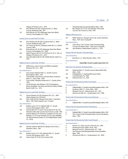Village of Pinehurst, N.C., 2014

- 131 Rory McIlroy (65-66), Congressional C.C. (Blue Course), Bethesda, Md., 2011
- 132 Ricky Barnes (67-65), Bethpage State Park (Black Course), Farmingdale, N.Y., 2009

Lowest Score to Lead Field, 54 Holes

- 199 Rory McIlroy (65-66-68), Congressional C.C. (Blue Course), Bethesda, Md., 2011
- 200 Jim Furyk, (67-66-67), Olympia Fields (Ill.) C.C. (North Course), 2003
- 202 Ricky Barnes (67-65-70), Bethpage State Park (Black Course), Farmingdale, N.Y., 2009
- 202 Martin Kaymer (65-65-72), Pinehurst R. & C.C. (No. 2), Village of Pinehurst, N.C., 2014
- 202 Gary Woodland (68-65-69), Pebble Beach (Calif.) G.L., 2019

#### Highest Score to Lead Field, 18 Holes

89 Willie Dunn, James Foulis and Willie Campbell, Newport (R.I.) G.C., 1895

#### Since World War II:

- 71 Sam Snead, Oakland Hills C.C. (South Course), Birmingham, Mich., 1951
- 71 Tommy Bolt, Julius Boros and Dick Metz, Southern Hills C.C., Tulsa, Okla., 1958
- 71 Tony Jacklin, Hazeltine National G.C., Chaska, Minn., 1970
- 71 Orville Moody, Jack Nicklaus, Chi Chi Rodriguez, Mason Rudolph, Tom Shaw and Kermit Zarley, Pebble Beach (Calif.) G.L., 1972

#### Highest Score to Lead Field, 36 Holes

- 173 Horace Rawlins (91-82), Newport (R.I.) G.C., 1895 (Open played over 36 holes)
- 164 Alex Smith (82-82), Myopia Hunt Club, S. Hamilton, Mass., 1901 (Open played over 72 holes)

#### Since World War II:

- 144 Bobby Locke (73-71), Oakland Hills C.C. (South Course), Birmingham, Mich., 1951
- 144 Tommy Bolt (67-77) and E. Harvie Ward (74-70), The Olympic Club (Lake Course), San Francisco, Calif., 1955
- 144 Homero Blancas (74-70), Bruce Crampton (74-70), Jack Nicklaus (71-73), Cesar Sanudo (72-72), Lanny Wadkins (76-68) and Kermit Zarley (71-73), Pebble Beach (Calif.) G.L. (1972)

#### Highest Score to Lead Field, 54 Holes

249 Stewart Gardner (86-82-81), Myopia Hunt Club, S. Hamilton, Mass., 1901

#### Since World War II:

- 218 Bobby Locke (73-71-74), Oakland Hills C.C. (South Course), Birmingham, Mich., 1951
- 218 Jacky Cupit (70-72-76), The Country Club

(Championship Course), Brookline, Mass., 1963 217 Ben Hogan (72-73-72), The Olympic Club (Lake Course), San Francisco, Calif., 1955

#### Highest Winning Score

331 Willie Anderson, Myopia Hunt Club, South Hamilton, Mass., 1901 (won in playoff)

#### Since World War II:

- 293 Julius Boros, The Country Club (Championship Course), Brookline, Mass., 1963 (won in playoff)
- 290 Jack Nicklaus, Pebble Beach (Calif.) G.L., 1972

#### Fewest Sub-Par Rounds, Championships

#### Since World War I:

0 Brae Burn C.C., West Newton, Mass., 1919

Since World War II:

#### 2 Cakland Hills C.C. (South Course), Birming ham, Mich., 1951

#### Most Over-Par Rounds, Championships

- 432 Oakland Hills C.C. (South Course), Bloomfield Hills, Mich., 1996
- 427 Philadelphia C.C. (Spring Mill Course), West Conshohocken, Pa., 1939
- 424 Oakmont (Pa.) C.C., 1935

#### Fewest Sub-Par Rounds by Field, First Round

#### Since World War II:

- 0 Oakland Hills C.C. (South Course), Birmingham, Mich., 1951
- 0 Southern Hills C.C., Tulsa, Okla., 1958
- 0 Winged Foot G.C., Mamaroneck, N.Y., 1974
- 0 Shinnecock Hills G.C., Southampton, N.Y., 1986

#### Fewest Sub-Par Rounds by Field, Second Round

#### Since World War II:

0 Oakland Hills C.C. (South Course), Birmingham, Mich., 1951

#### Fewest Sub-Par Rounds by Field, Third Round

#### Since World War II:

- 0 Oakland Hills C.C. (South Course), Birmingham, Mich., 1951
- 0 The Country Club (Championship Course), Brookline, Mass., 1963

# Fewest Sub-Par Rounds by Field, Fourth Round

#### Since World War II:

- 0 Merion G.C. (East Course), Ardmore, Pa., 1950
- 0 **12 Northwood Club, Dallas, Texas, 1952**<br>0 Winged Foot G.C., Mamaroneck, N.Y.
- 0 Winged Foot G.C., Mamaroneck, N.Y., 1959
- 0 The Country Club (Championship Course), Brookline, Mass., 1963
- 0 Shinnecock Hills G.C., Southampton, N.Y., 2004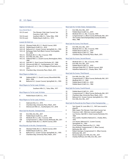# Highest 36-Hole Cut Since World War II:

| 155 (15 over) | The Olympic Club (Lake Course), San     |  |
|---------------|-----------------------------------------|--|
|               | Francisco, Calif., 1955                 |  |
| 154 (14 over) | Southern Hills C.C., Tulsa, Okla., 1958 |  |
| 154 (10 over) | Pebble Beach (Calif.) G.L., 1972        |  |

#### Lowest 36-Hole Cut

- 143 (+3) Olympia Fields (Ill.) C.C. (North Course), 2003
- 144 (+2) Pebble Beach (Calif.) G.L., 2019
- 144 (+4) Baltusrol G.C. (Lower Course), Springfield, N.J., 1993
- 144 (+4) Bethpage State Park (Black Course), Farmingdale, N.Y., 2009
- 145 (+1) Medinah (Ill.) C.C. (No. 3 Course), 1990
- 145 (+1) Erin Hills, Erin, Wis., 2017
- 145 (+5) Oakland Hills C.C. (South Course), Birmingham, Mich., 1985
- 145 (+5) Oak Hill C.C. (East Course), Rochester, N.Y., 1989
- 145 (+5) Shinnecock Hills G.C., Southampton, N.Y., 2004
- 145 (+5) Pinehurst R. & C.C. (No. 2), Village of Pinehurst, N.C., 2014
- 145 (+5) Chambers Bay, University Place, Wash., 2015

#### Most Players to Make Cut

- 108 Oakland Hills C.C. (South Course), Bloomfield Hills, Mich., 1996
- 88 Baltusrol G.C. (Lower Course), Springfield, N.J., 1993

#### Most Players to Tie for Lead, 18 Holes

7 Southern Hills C.C., Tulsa, Okla., 1977

- Most Players to Tie for Lead, 36 Holes
- 6 Pebble Beach (Calif.) G.L., 1972

# Most Players to Tie for Lead, 54 Holes

- 4 Oakmont (Pa.) C.C., 1973
- 4 Chambers Bay, University Place, Wash., 2015
- 4 Shinnecock Hills G.C., Southampton, N.Y., 2018

# Most Sub-Par Rounds, Championship

- 140 Erin Hills, Erin, Wis., 2017
- 139 Pebble Beach (Calif.) G.L., 2019
- 124 Medinah (Ill.) C.C. (No. 3 Course), 1990
- 108 Congressional C.C. (Blue Course), Bethesda, Md., 2011
- 83 Olympia Fields (Ill.) C.C. (North Course), 2003

# Most Rounds in the 60s, Championship

- 83 Olympia Fields (Ill.) C.C. (North Course), 2003
- 81 Pebble Beach (Calif.) G.L., 2019
- 76 Baltusrol G.C. (Lower Course), Springfield, N.J., 1993<br>71 Chambers Bay, University Place, Wash., 2015 Chambers Bay, University Place, Wash., 2015
- 

#### Most Sub-Par 72-Hole Totals, Championship

- 31 Erin Hills, Erin, Wis., 2017
- 31 Pebble Beach (Calif.) G.L., 2019
- 28 Medinah (Ill.) C.C. (No. 3 Course), 1990
- 20 Congressional C.C. (Blue Course), Bethesda, Md., 2011
- 11 The Country Club (Championship Course), Brookline, Mass., 1988

#### Most Sub-Par Scores, First Round

- 44 Erin Hills, Erin, Wis., 2017
- 39 Medinah (Ill.) C.C. (No. 3 Course), 1990
- 39 Pebble Beach (Calif.) G.L., 2019
- 29 Pebble Beach (Calif.) G.L., 1992
- 25 Chambers Bay, University Place, Wash., 2015

## Most Sub-Par Scores, Second Round

- 47 Medinah (Ill.) C.C. (No. 3 Course), 1990
- 46 Erin Hills, Erin, Wis., 2017
- 44 Pebble Beach (Calif.) G.L., 2019
- 38 Olympia Fields (Ill.) C.C. (North Course), 2003
- 33 Hazeltine National G.C., Chaska, Minn. 1991

#### Most Sub-Par Scores, Third Round

- 32 Erin Hills, Erin, Wis., 2017
- 26 Congressional C.C. (Blue Course), Bethesda, Md., 2011
- 24 Medinah (III.) C.C., 1990<br>23 Pebble Beach (Calif.) G.L
- Pebble Beach (Calif.) G.L., 2019
- 22 Pebble Beach (Calif.) G.L., 1982

# Most Sub-Par Scores, Fourth Round

- 33 Pebble Beach (Calif.) G.L., 2019
- 32 Congressional C.C. (Blue Course), Bethesda, Md., 2011
- 22 Chambers Bay, University Place, Wash., 2015<br>18 Baltusrol G.C. (Lower Course). Springfield. N.
- Baltusrol G.C. (Lower Course), Springfield, N.J., 1993
- 18 Erin Hills, Erin, Wis., 2017

#### Most Sub-Par Rounds by One Player in One Championship

- 4 Sam Snead, St. Louis (Mo.) C.C., 1947 (one round in playoff) 4 Billy Casper, The Olympic Club (Lake Course), San
- Francisco, Calif., 1966 (one round in playoff) 4 Lee Trevino, Oak Hill C.C. (East Course), Rochester, N.Y.,
- 1968
- 4 Tony Jacklin, Hazeltine National G.C., Chaska, Minn., 1970
- 4 Lee Janzen, Baltusrol G.C. (Lower Course), Springfield, N.J., 1993
- 4 Curtis Strange, Oakmont (Pa.) C.C., 1994<br>4 Rory McIlroy, Congressional C.C. (Blue Co
	- Rory McIlroy, Congressional C.C. (Blue Course), Bethesda, Md., 2011
- 4 Robert Garrigus, Congressional C.C. (Blue Course), Bethesda, Md., 2011
- 4 Brooks Koepka, Erin Hills, Erin, Wis., 2017
- 4 Charley Hoffman, Erin Hills, Erin, Wis., 2017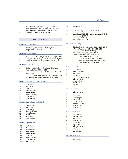- 4 Brandt Snedeker, Erin Hills, Erin, Wis., 2017
- 4 Gary Woodland, Pebble Beach (Calif.) G.L., 2019
- 4 Brooks Koepka, Pebble Beach (Calif.) G.L., 2019
- 4 Jon Rahm, Pebble Beach (Calif.) G.L., 2019
	- **Miscellaneous**

#### Highest Score, One Hole

19 Ray Ainsley, 16th hole (par 4), Cherry Hills C.C., Englewood, Colo., 1938

#### Most Consecutive Birdies

- 6 George Burns (holes 2-7), Pebble Beach (Calif.) G.L., 1982
- 6 Andy Dillard (holes 1-6), Pebble Beach (Calif.) G.L., 1992
- 6 Adam Hadwin (holes 18-5), Erin Hills, Erin, Wis., 2017

#### Most Consecutive 3s

8 Hubert Green (holes 9-16), Baltusrol G.C. (Lower Course), Springfield, N.J., 1980 7 Hubert Green (holes 10-16), Southern Hills C.C., Tulsa, Okla., 1977 7 Peter Jacobsen (holes 1-7), The Country Club (Championship Course), Brookline, Mass., 1988

#### Most Consecutive U.S. Opens Started

- 44 Jack Nicklaus
- 34 Hale Irwin
- 33 Tom Kite
- 33 Gene Sarazen Arnold Palmer
- 31 Raymond Floyd
- 31 Sam Snead
- 31 Tom Watson

# Most U.S. Opens Completed, 72 Holes

- 
- 35 Jack Nicklaus<br>27 Hale Irwin Hale Irwin
- 27 Sam Snead<br>26 Raymond F
- 26 Raymond Floyd<br>26 Gene Sarazen
- Gene Sarazen
- 25 Phil Mickelson<br>25 Garv Plaver
- 25 Gary Player<br>25 Tom Watsor
- **Tom Watson**

#### Most U.S. Open Rounds

- 160 Jack Nicklaus<br>120 Hale Irwin
- Hale Irwin
- 118 Gene Sarazen
- 117 Sam Snead<br>115 Arnold Paln Arnold Palmer
- 
- 114 Tom Kite 113 Raymond Floyd
- 112 Tom Watson
- 109 Gary Player

#### 106 Phil Mickelson

#### Most Consecutive U.S. Opens Completed, 72 Holes

- 22 Walter Hagen (1913-36) (no championships 1917-18)
- 22 Gene Sarazen (1920-41)
- 22 Gary Player (1958-79)
- Jack Nicklaus (1964-84)

#### Most Times Runner-Up

- 6 Phil Mickelson (1999, 2002, 2004, 2006, 2009, 2013)
	- 4 a-Robert T. Jones Jr. (1922, 1924, 1925, 1928)
- 4 Sam Snead (1937, 1947, 1949, 1953)
- 4 Jack Nicklaus (1960, 1968, 1971, 1982)
- 4 Arnold Palmer (1962, 1963, 1966, 1967)
- 3 Alex Smith (1898, 1901, 1905)
- 3 Tom McNamara (1909, 1912, 1915)
- 3 Colin Montgomerie (1994, 1997, 2006)
- 3 Jim Furyk (2006, 20077, 2016)

# Most Top-3 Finishes

- 9 Jack Nicklaus
- 8 Robert T. Jones Jr.<br>8 Ben Hogan
	- 8 Ben Hogan
- 8 Alex Smith
- 7 Gene Sarazen<br>6 Willie Anderson
- Willie Anderson
- 6 Arnold Palmer
- 6 Phil Mickelson
	- 6 Tiger Woods

#### Most Top-5 Finishes

- 11 Willie Anderson
- 11 Jack Nicklaus
- 10 Alex Smith
- 10 Walter Hagen
- 10 Ben Hogan
- 10 Arnold Palmer
- 9 a-Robert T. Jones Jr.
- 9 Gene Sarazen
- 9 Julius Boros

# Most Top-10 Finishes

- 18 Jack Nicklaus
- 16 Walter Hagen
- 15 Ben Hogan<br>14 Gene Saraze Gene Sarazen
- 13 Arnold Palmer
- 12 Ben Hogan
- 11 Willie Anderson
- 11 Alex Smith
- 11 Julius Boros
- 11 Tom Watson

#### Most Top-25 Finishes

- 22 Jack Nicklaus
- 21 Sam Snead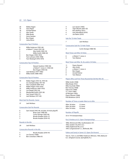# 22 U.S. Open

- 20 Walter Hagen
- 19 Gary Player
- 18 Arnold Palmer<br>17 Alex Smith Alex Smith
- 17 Mike Brady
- 
- 17 Gene Sarazen<br>17 Ben Hogan Ben Hogan
- 17 Julius Boros

#### Consecutive Top-5 Finishes

- 6 Willie Anderson (1901-06) 6 a-Robert T. Jones (1921-26) 5 Alex Smith (1905-10)
- 5 Willie Smith (1898-02)
- 4 Ben Hogan (1950-1953)
- 4 Tom Lehman (1995-1998)
- Tom Weiskopf (1976-1979)

#### Consecutive Top-10 Finishes

| -7 | Stewart Gardner (1900-06)       |
|----|---------------------------------|
|    | a-Robert T. Jones Jr. (1920-26) |
| -7 | Ben Hogan (1950-56)             |
| -6 | Jack Nicklaus (1977-1982)       |
| 6  | Willie Smith (1898-1903)        |

#### Consecutive Top-25 Finishes

- 19 Walter Hagen (1913-16, 1919-33)
- (no championships 1917-18) 16 Alex Campbell (1899-1915)
- 
- 15 Walter Hagen (1919-1933) Willie Anderson (1897-1910)
- 13 Leo Diegel (1922-34)
- 13 Macdonald Smith (1923-36)
- 12 Sam Snead (1946-57)
- 12 Jack Nicklaus (1971-82)

#### Most Sub-Par Rounds, Career

## 37 Jack Nicklaus

#### Consecutive Sub-Par Rounds

| 6 | Sam Snead (1947-48, includes 18-hole playoff) |
|---|-----------------------------------------------|
| 5 | Brian Claar (1989-90)                         |
| 5 | Curtis Strange (1993-94)                      |
| 5 | Brooks Koepka (2016-17)                       |
| 5 | Brooks Koepka (2018-19)                       |
|   |                                               |

#### Rounds in the 60s

29 Jack Nicklaus

## Consecutive Rounds in the 60s

- 5 Brooks Koepka (2018-19)
- 4 Lee Trevino (1968)
- 4 Ben Crenshaw (1986-87)
- 4 Lee Janzen (1993)
- 4 Tiger Woods (2001-02)
- 4 Rory McIlroy (2011) 4 Gary Woodland (2019)
- 4 Jon Rahm (2019)

# Sub-Par 72-Hole Totals

7 Jack Nicklaus

#### Consecutive Sub-Par 72-Hole Totals

3 Curtis Strange (1988-90)

#### Most Times Led After 54 Holes

- 6 a-Robert T. Jones Jr.
- 4 Tom Watson

#### Most Times Led After 18, 36, and/or 54 Holes

- 11 Payne Stewart
- 10 Alex Smith<br>9 a-Robert T.
- a-Robert T. Jones Jr.
- 9 Ben Hogan
- 9 Arnold Palmer
- 9 Tom Watson

## Players Who Led First Three Rounds But Did Not Win (9)

Willie Smith (1908) Mike Brady (1912) Mike Souchak (1960) Bert Yancey (1968) Hale Irwin (1984) T.C. Chen (1985) Gil Morgan (1992) Payne Stewart (1998) Phil Mickelson (2013)

#### Number of Times a Leader Went on to Win

| After 18 Holes | 21 times |
|----------------|----------|
| After 36 Holes | 41 times |
| After 54 Holes | 53 times |

#### Number of Playoffs

# 33 in 119 championships

Par-3 Finishes at U.S. Open Championships

1896, Shinnecock Hills, Southampton, N.Y. 1902, Garden City (N.Y.) G.C. 1909, Englewood (N.J.) G.C. 1997, Congressional C.C., Bethesda, Md.

Father and Son(s) in Same U.S. Open (Six Known)

Tom Sr., Tom Jr. and Willie Anderson (Winner), 1903, Baltusrol G.C. (Original Course), Springfield, N.J.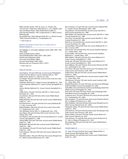Willie and Mac Hunter, 1947, St. Louis C.C., Clayton, Mo. \*Joe and Joe Jr. Kirkwood, 1948, Riviera C.C., Los Angeles, Calif. Gary and Wayne Player, 1982, Pebble Beach (Calif.) G.L. Jack and Gary Nicklaus, 1997, Congressional C.C. (Blue Course), Bethesda, Md.

Jay and Bill Haas, 2003, Olympia Fields (Ill.) C.C. (North Course); \*2004, Shinnecock Hills G.C., Southampton, N.Y.

 $* =$  both made cut

Brothers and Sisters in Same Year's U.S. Open and U.S. Women's Open (7)

Jim Gallagher Jr. and Jackie Gallagher-Smith (1989, 1990\*, 1991, 1992, 2002)

Hank and Kelli Kuehne (1999\*) Trip and Kelli Kuehne (1996, 2003\*, 2005, 2007) Kiyoshi and Ai Miyazato (2014) Larry and Laurie Rinker (1986\*) Lee and Laurie Rinker (1985, 2005) Nicholas and Lexi Thompson (2012\*, 2013\*)

 $* =$  both made cut

#### Holes-In-One (45)

Jack Hobens, 147-yard 10th hole, second round, Philadelphia Cricket Club (St. Martin's Course), Chestnut Hill, Pa., 1907 Eddie Towns, Skokie C.C., Glencoe, Ill., 1922

Leo Diegel, 146-yard 13th hole, second round, Inverness Club, Toledo, Ohio, 1931

Zell Eaton, Baltusrol G.C. (Upper Course), Springfield, N.J., 1936 a-Dick Chapman, Baltusrol G.C. (Lower Course), Springfield, N.J., 1954

Johnny Weitzel, Baltusrol G.C. (Lower Course), Springfield, N.J., 1954

a-Billy Kuntz, 142-yard 11th hole, Oak Hill C.C. (East Course), Rochester, N.Y. , 1956

Jerry McGee, 180-yard 5th hole, third round, Pebble Beach (Calif.) G.L., 1972

Bobby Mitchell, 180-yard 5th hole, fourth round, Pebble Beach (Calif.) G.L., 1972

Pat Fitzsimmons, 187-yard 2nd hole, first round, Medinah (Ill.) C.C. (No. 3 Course), 1975

Bobby Wadkins, 208-yard 15th hole, first round, Cherry Hills C.C., Englewood, Colo., 1978

Tom Weiskopf, Cherry Hills C.C., Englewood, Colo., 1978 Gary Player, 185-yard 3rd hole, third round, Inverness Club, Toledo, Ohio, 1979

Tom Watson, 194-yard 4th hole, first round, Baltusrol G.C. (Lower Course), Springfield, N.J., 1980

Johnny Miller, 205-yard 12th hole, second round, Pebble Beach (Calif.) G.L., 1982

Bill Brodell, 180-yard 5th hole, second round, Pebble Beach (Calif.) G.L., 1982

Tom Weiskopf, 120-yard 7th hole, fourth round, Pebble Beach (Calif.) G.L., 1982

Scott Simpson, 228-yard 16th hole, first round, Oakmont (Pa.) C.C., 1983

Mark McCumber, 190-yard 10th hole, first round, Winged Foot G.C. (West Course), Mamaroneck, N.Y., 1984

Ben Crenshaw, 217-yard, 9th hole, second round, Oakland Hills C.C. (South Course), Birmingham, Mich., 1985

Doug Weaver, 159-yard 6th hole, second round, Oak Hill C.C. (East Course), Rochester, N.Y., 1989

Mark Wiebe, 159-yard 6th hole, second round, Oak Hill C.C. (East Course), Rochester, N.Y., 1989

Jerry Pate, 159-yard 6th hole, second round, Oak Hill C.C. (East Course), Rochester, N.Y., 1989

Nick Price, 159-yard 6th hole, second round, Oak Hill C.C. (East Course), Rochester, N.Y., 1989

Jay Don Blake, 190-yard 8th hole, first round, Medinah (Ill.) C.C. (No. 3 Course), 1990

John Inman, 194-yard 4th hole, first round, Hazeltine National G.C., Chaska, Minn., 1991

Fuzzy Zoeller, 194-yard 4th hole, second round, Hazeltine National G.C., Chaska, Minn., 1991

Mike Hulbert, 198-yard 12th hole, first round, Baltusrol G.C. (Lower Course), Springfield, N.J., 1993

Sandy Lyle, 206-yard 12th hole, fourth round, Baltusrol G.C. (Lower Course), Springfield, N.J., 1993

Gary Hallberg, 182-yard 7th hole, third round, Shinnecock Hills G.C., Southampton, N.Y., 1995

Chris Perry, 196-yard 13th hole, third round, The Olympic Club (Lake Course), San Francisco, Calif., 1998

Todd Fischer, 108-yard 7th hole, second round, Pebble Beach (Calif.) G.L., 2000

Phil Mickelson, 174-yard 6th hole, second round, Southern Hills C.C., Tulsa, Okla., 2001

Olin Browne, 165-yard 11th hole, fourth round, Southern Hills C.C., Tulsa, Okla., 2001

Shigeki Maruyama, 161-yard 14th hole, second round, Bethpage State Park (Black Course), Farmingdale, N.Y., 2002

Andy Miller, 205-yard 3rd hole, fourth round, Bethpage State Park (Black Course), Farmingdale, N.Y., 2002

Scott Hoch, 207-yard 17th hole, fourth round, Bethpage State Park (Black Course), Farmingdale, N.Y., 2002

a-Spencer Levin, 179-yard 17th hole, first round, Shinnecock Hills G.C., Southampton, N.Y., 2004

Peter Jacobsen, 175-yard 9th hole, third round, Pinehurst Resort (No. 2), Village of Pinehurst, N.C., 2005

Peter Hedblom, 238-yard 3rd hole, third round, Winged Foot G.C. (West Course), Mamaroneck, N.Y., 2006

Thongchai Jaidee, 181-yard 5th hole, third round, Pebble Beach (Calif.) G.L., 2010

John Peterson, 199-yard 13th hole, third round, The Olympic Club (Lake Course), San Francisco, Calif., 2012

Shawn Stefani, 229-yard 17th hole, fourth round, Merion G.C. (East Course), Ardmore, Pa., 2013

Zach Johnson, 191-yard 9th hole, fourth round, Pinehurst R. & C.C. (No. 2), Village of Pinehurst, N.C., 2014

Rory Sabbatini, 202-yard 12th hole, first round, Pebble Beach (Calif.) G.L., 2019

#### Double Eagles (3)

T.C. Chen, 527-yard 2nd hole, first round, Oakland Hills C.C. (South Course), Birmingham, Mich., 1985

Shaun Micheel, 523-yard 6th hole, fourth round, Pebble Beach (Calif.) G.L., 2010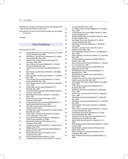Nick Watney, 522-yard 17th hole, first round, The Olympic Club (Lake Course), San Francisco, Calif., 2012

Note: Records for holes-in-one and double eagles are not available for all years.

a-amateur

# Final Qualifying

Low Scores (since 1951)

- 58 Shigeki Maruyama, first round, Woodmont C.C. (South Course), Rockville, Md., 2000 59 Olin Browne, second round, Woodmont C.C. (South Course), Rockville, Md., 2005
- 61 Stewart Cink, second round, Double Eagle G.C., Columbus, Ohio, 2003
- 61 Ryan Sullivan, first round, Woodmont C.C. (South
- Course), Rockville, Md., 2013<br>Corey Conners, first round, S Corey Conners, first round, Springfield (Ohio) C.C., 2017
- 62 Bob Verwey, second round, Colonial C.C., Memphis, Tenn., 1967
- 62 Peter Jacobsen, second round, Argyle C.C., Rockville, Md., 1980
- 62 Steve Stricker, first round, Woodmont C.C. (South Course), Rockville, Md., 1998
- 62 Tom Scherrer, second round, Colonial C.C., Memphis, Tenn., 1999
- 62 Brandt Jobe, second round, Woodmont C.C., Rockville, Md., 2000
- 62 a-Andrew Sanders, second round, Shadow Hawk G.C., Houston, Texas, 2000
- 62 Mark Wiebe, first round, Colonial C.C., Memphis, Tenn., 2001
- 62 Stewart Cink, first round, The Lakes G. & C.C., Columbus, Ohio, 2003
- 62 a-Tripp Kuehne, first round, Stonebridge Ranch C.C. (Dye Course), McKinney, Texas, 2003
- 62 Tim Clark, second round, The Lakes G. & C.C., Columbus, Ohio, 2004
- 62 J.P. Hayes, first round, Woodmont C.C. (South Course), Rockville, Md., 2005
- 62 Darron Stiles, second round, Colonial C.C. (South Course), Memphis, Tenn., 2007
- 62 Jason Bohn, first round, Ansley G.C. (Settindown Creek Course), Roswell, Ga., 2008
- 62 Kyle Stanley, first round, The Lakes G. & C.C., Columbus, Ohio, 2009
- 62 Cortland Lowe, first round, NCR C.C. (South Course), Dayton, Ohio, 2009
- 62 a-Brett Patterson, second round, Hawks Ridge G.C., Ball Ground, Ga., 2011
- 62 Brandt Jobe, first round, The Lakes G. & C.C., Columbus, Ohio, 2011
- 62 Bio Kim, Newport Beach (Calif.) C.C., 2013
- 62 Casey Wittenberg, first round, Colonial C.C. (South

Course), Memphis, Tenn., 2014

- 62 D.J. Trahan, second round, Ridgeway C.C., Memphis,
- Tenn., 2016<br>a-David Boo a-David Boote, first round, Walton Heath G.C. (New Course), England, 2017
- 62 Bradley Dredge, first round, Walton Heath G.C. (New Course), England, 2017
- 62 Sam Ryder, first round, Woodmont C.C. (North Course), Rockville, Md., 2017
- 62 Sam Burns, first round, Ridgeway C.C., Memphis, Tenn., 2018<br>,,J Art Wall Jr
	- Art Wall Jr., second round, Twin Hills G. & C.C., Oklahoma City, Okla., 1968
- 63 Sam Carmichael, second round, C.C. of Indianapolis (Ind.), 1968
- 63 Morris Hatalsky, second round, Manor C.C., Rockville, Md., 1984
- 63 Thomas Costello, second round, Rolling Hills C.C., Golden, Colo., 1985
- 63 Barry Jaeckel, second round, Old Oaks C.C. / Century C.C., Purchase, N.Y., 1987
- 63 Davis Love III, second round, Disney World G.R. (Magnolia Course), 1989
- 63 Phil Mickelson, second round, Farmington C.C., Memphis Tenn., 1992
- 63 Michael Weeks, second round, Lake Nona G.C., Orlando, Fla., 1993
- 63 Tommy Armour III, first round, Congressional C.C. (Gold Course), Rockville, Md., 1994
- 63 Paul Goydos, first round, Dallas Athletic Club, Dallas, Texas, 1995
- 63 Collin Stoops, second round, Woodmont C.C., Rockville, Md., 1995<br>Bob Burns, second r
	- Bob Burns, second round, Colonial C.C., Memphis, Tenn., 1999
- 63 David Toms, second round, Colonial C.C., Memphis, Tenn., 1999
- 63 David Frost, first round, Woodmont C.C., Rockville, Md., 2000
- 63 Andy Bean, second round, Woodmont C.C., Rockville, Md., 2000
- 63 David Peoples, first round, Colonial C.C., Memphis, Tenn., 2001
- 63 Peter Lonard, second round, Woodmont C.C. (North Course), Rockville, Md., 2002
- 63 Chez Reavie, first round, Woodmont C.C. (South Course), Rockville, Md., 2003
- 63 Tommy Armour III, second round, Woodmont C.C. (South Course), Rockville, Md., 2005
- 63 Jason Allred, second round, St. Charles (Ill.) C.C., 2006
- 63 Brett Quigley, second round, Canoe Brook C.C. (South Course), 2006
- 63 Hunter Mahan, second round, Northwood Club, Dallas, Texas, 2007
- 63 Robert Garrigus, first round, Brookside G. & C.C., Columbus, Ohio, 2008
- 63 Peter Tomasulo, first round, Springfield (Ohio) C.C., 2008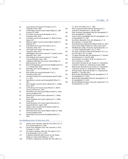| 63  | Lucas Glover, first round, The Lakes G. & C.C.,                                          |
|-----|------------------------------------------------------------------------------------------|
| 63  | Columbus, Ohio, 2009<br>a-Matt Nagy, second round, Hawks Ridge G.C., Ball                |
| 63  | Ground, Ga., 2009<br>Eric Axley, second round, Brookside G. & C.C.,                      |
| 63  | Columbus, Ohio, 2010<br>Scott Barr, second round, Ibaraki C.C. (West Course),            |
| 63  | Japan, 2011<br>Maarten Lafeber, second round, Walton Heath G.C.,<br>England, 2011        |
| 63  | Chez Reavie, first round, The Lakes G. & C.C.,<br>Columbus, Ohio, 2011                   |
| 63  | Josh Teater, first round, The Lakes G. & C.C.,<br>Columbus, Ohio, 2013                   |
| 63  | Jeff Maggert, first round, Colonial C.C. (South Course),<br>Memphis, Tenn., 2014         |
| 63  | Peter Malnati, first round, Colonial C.C. (South<br>Course), Memphis, Tenn., 2014        |
| 63  | a-Matthew NeSmith, first round, Hawks Ridge G.C.,<br>Ball Ground, Ga., 2015              |
| 63  | Bryson DeChambeau, second round, Wedgewood G. &<br>C.C., Powell, Ohio, 2016              |
| 63  | Brad Elder, first round, Ridgeway C.C., Memphis,<br>Tenn., 2016                          |
| 63  | Bud Cauley, first round, Brookside G. & C.C.,<br>Columbus, Ohio, 2017                    |
| 63  | Cameron Champ, first round, Newport Beach (Calif.)<br>C.C., 2017                         |
| 63  | Ryan Brehm, second round, Springfield (Ohio) C.C.,<br>2017                               |
| 63  | Nick Flanagan, second round, Lakewood C.C., Dallas,<br>Texas, 2017                       |
| 63  | Scott Harvey, first round, Canoe Brook C.C. (North<br>Course), Summit, N.J., 2017        |
| 63  | Alexander Levy, first round, Walton Heath G.C. (New<br>Course), England, 2017            |
| 63  | Edward Loar, second round, Lakewood C.C., Dallas,<br>Texas, 2017                         |
| 63  | Roman Robledo, first round, Lakewood C.C., Dallas,<br>Texas, 2017                        |
| 63  | David Bransdon, first round, Japan Memorial G.C.,<br>Hyogo Prefecture, Japan, 2018       |
| 63  | Andrew Lister, second round, Shadow Hawk G.C.,<br>Richmond, Texas, 2018                  |
| 63  | Dean Burmester, first round, Walton Heath G.C. (New<br>Course), England, 2019            |
| 63  | Robert Bell, second round, Springfield (Ohio) C.C.,<br>2019                              |
|     | Low Qualifying Scores, 36 Holes (since 1951)                                             |
| 123 | Stewart Cink, Columbus, Ohio (62, The Lakes G. & C.C.,<br>& 61, Double Eagle G.C.), 2003 |
| 127 | David Toms, Memphis, Tenn. (64, Colonial C.C. & 63,<br>Colonial C.C.), 1999              |
| 127 | Eric Axley, Columbus, Ohio (64, The Lakes G. & C.C.,                                     |

- & 63, Brookside G. & C.C.), 2010 127 a-Matthew NeSmith, Ball Ground, Ga. (63, Hawks Ridge G.C, & 64, Hawks Ridge G.C., 2015
- 128 Art Wall Jr., Oklahoma City, Okla. (65, Twin Hills G. &

|     | C.C. & 63, Twin Hills G. & C.C., 1960                     |
|-----|-----------------------------------------------------------|
| 128 | Peter Lonard, Rockville, Md. (65, Woodmont C.C.-          |
|     | South & 63, Woodmont C.C.-North), 2002                    |
| 128 | Peter Tomasulo, Springfield, Ohio (63, Springfield C.C.   |
|     | & 65, Springfield C.C.), 2008                             |
| 128 | Corey Conners, Springfield, Ohio (61, Springfield C.C. &  |
|     | 67, Springfield C.C.), 2017                               |
| 128 | Sam Burns, Memphis, Tenn. (62, Ridgeway C.C. &            |
|     | 66, Colonial C.C.-South), 2018                            |
| 128 | Dean Burmester, England (63, Walton Heath G.C.-New        |
|     | Course & 65, Walton Heath G.C.-Old Course), 2019          |
| 129 | Phil Blackmar, Dallas, Texas (65, Trophy Roanoke C. &     |
|     | C.C. & 64, Trophy Roanoke C. & C.C.), 1991                |
| 129 | Tim Clark, Columbus, Ohio (67, Brookside G. & C.C. &      |
|     | 62, The Lakes G. & C.C.), 2004                            |
| 129 | J.P. Hayes, Rockville, Md. (62, Woodmont C.C.-South &     |
|     | 67, Woodmont C.C.-North), 2005                            |
| 129 | Steve Stricker, St. Charles, III. (65, St. Charles C.C. & |
|     | 64, St. Charles C.C.), 2006                               |
| 129 | Jason Bohn, Roswell, Ga. (62, Ansley G.C.-Settindown      |
|     | Creek & 67, Ansley G.C.-Settindown Creek), 2008           |
| 129 | Matt Kuchar, Roswell, Ga. (64, Ansley G.C.-Settindown     |
|     | Creek & 65, Ansley G.C.-Settindown Creek), 2008           |
| 129 | Hiroyuki Fujita, Japan (65, Musahi C.C.-Toyooka & 64,     |
|     | Musahi C.C.-Toyooka, 2010                                 |
| 129 | Brian Stuard, Springfield, Ohio (65, Springfield C.C. &   |
|     | 64, Springfield C.C.), 2013                               |
| 129 | Brian Stuard, Springfield, Ohio (64, Springfield C.C. &   |
|     | 65, Springfield C.C.), 2014                               |
| 129 | Roman Robledo, Houston, Texas (63, Lakewood C.C. &        |

129 Roman Robledo, Houston, Texas (63, Lakewood C.C. & 66, Lakewood C.C.), 2017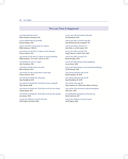# The Last Time It Happened

Last international winner: Martin Kaymer, Germany, 2014

Last to defend title successfully: Brooks Koepka, 2018

Last to win three consecutive U.S. Opens: Willie Anderson, 1903-05

Last winner to win the U.S. Open on first attempt: Francis Ouimet, 1913

Last winner to win the U.S. Open on second attempt: Webb Simpson, T14 in 2011, winner in 2012

Last amateur to win U.S. Open: John Goodman, 1933

Last start-to-finish winner (no ties): Martin Kaymer, 2014

Last winner to win money title in same year: Dustin Johnson, 2016

Last winner to birdie the 72nd hole: Gary Woodland, 2019

Last winner to birdie the 72nd hole to force a playoff: Tiger Woods, 2008

Last winner to birdie the 72nd hole to win by one stroke: Jordan Spieth, 2015

Last winner to birdie the 72nd hole to win by two strokes: Lee Janzen, 1993

Last to win without a round in the 60s: Geoff Ogilvy, Australia, 2006

Last to win with all rounds in the 60s: Gar Woodland, 2019

Last to win with a round in the 80s: John McDermott, 80, in playoff, 1911

Last to win with a round of 77: Sam Parks Jr., in first round, 1935

Last to win with a round of 76: Angel Cabrera, in third round, 2007

Last to win with a round of 75: Brooks Koepka, 2018

Last to win after being in final qualifying: Lucas Glover, 2009

Last to win after being in local and final qualifying: Orville Moody, 1969

Last winner between age 20-29: Brooks Koepka, 28, 2018

Last winner between age 30-39: Gary Woodland, 35, 2019

Last winner over age 40: Payne Stewart, 42, 1999 (sixth-oldest in history)

Last winner who received a special exemption: Hale Irwin, 1990

Last defending champion to miss the cut: Dustin Johnson, 2017

Last to win without a sub-par round: Geoff Ogilvy, 2006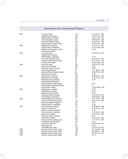# Exemptions for International Players

| 1987 | Isao Aoki, Japan                                     | T14             | 71-73-70-71-285                    |
|------|------------------------------------------------------|-----------------|------------------------------------|
|      | Rodger Davis, Australia                              | T36             | 75-68-72-74-289                    |
|      | Mark McNulty, Zimbabwe                               | T66             | 73-72-73-76-294                    |
|      | Tommy Nakajima, Japan                                | T9              | 68-70-74-72-284                    |
|      | Jose-Maria Olazabal, Spain                           | <b>T68</b>      | 76-69-76-74-295                    |
|      | Masashi (Jumbo) Ozaki, Japan                         | T <sub>17</sub> | 71-69-72-74-286                    |
| 1988 | Rodger Davis, Australia                              | T47             | 73-73-71-74-291                    |
|      | Mark McNulty, Zimbabwe                               | T <sub>17</sub> | 73-72-72-68-285                    |
|      | Masashi (Jumbo) Ozaki, Japan                         | МC              | 77-78                              |
|      | Ian Woosnam, Wales                                   | <b>WD</b>       |                                    |
| 1989 | Isao Aoki, Japan                                     | T33             | 70-70-75-74-289                    |
|      | Rodger Davis, Australia                              | <b>WD</b>       |                                    |
|      | Mark McNulty, Zimbabwe                               | MC              | 73-74                              |
|      | Jose-Maria Olazabal, Spain                           | T9              | 69-72-70-72-283                    |
|      | Masashi (Jumbo) Ozaki, Japan                         | T6              | 70-71-68-72-281                    |
|      | lan Woosnam, Wales                                   | T <sub>2</sub>  | 70-68-73-68-279                    |
| 1990 | Isao Aoki, Japan                                     | T33             | 73-69-74-73-289                    |
|      | Mark James, England                                  | МC              | 74-74                              |
|      | Bernhard Langer, Germany                             | MC              | 78-70                              |
|      | Craig Parry, Australia                               | 46              | 72-71-68-79-290                    |
|      | Ronan Rafferty, Northern Ireland                     | 63              | 75-70-73-78-296                    |
|      | Peter Senior, Australia                              | МC              | 75-74                              |
| 1991 | Rodger Davis, Australia                              | T46             | 74-68-81-74-297                    |
|      | Mike Harwood, Australia                              | T49             | 71-74-77-76-298                    |
|      | Bernhard Langer, Germany                             | МC              | 75-74                              |
|      | Mark McNulty, Zimbabwe                               | <b>WD</b>       |                                    |
|      | Masashi (Jumbo) Ozaki, Japan                         | МC              | $77 - 75$                          |
|      | Ronan Rafferty, Northern Ireland                     | <b>WD</b>       | 79                                 |
|      | Ian Woosnam, Wales                                   | T55             | 73-68-79-80-300                    |
| 1992 | Rodger Davis, Australia                              | МC              | 73-80                              |
|      | David Feherty, Ireland                               | МC              | 75-73                              |
|      | Mike Harwood, Australia                              | МC              | 76-77                              |
|      | Bernhard Langer, Germany                             | T <sub>23</sub> | 73-72-75-75-295                    |
|      | Mark McNulty, Zimbabwe                               | T33             | 74-72-69-81-296                    |
| 1992 | Colin Montgomerie, Scotland                          | 3               | 70-71-77-70-288                    |
|      | Masashi (Jumbo) Ozaki, Japan                         | T <sub>23</sub> | 77-70-72-76-295                    |
|      | Steven Richardson, England                           | МC              | 78-71                              |
|      | Eduardo Romero, Argentina                            | МC              | 75-76                              |
| 1993 | Robert Allenby, Australia                            | T33             | 74-69-69-72-284                    |
|      | Ernie Els, South Africa                              | T7              | 71-73-68-67-279                    |
|      | Anders Forsbrand, Sweden                             | МC              | 77-72                              |
|      | Tony Johnstone, Zimbabwe                             | T77             | 71-72-74-73-290                    |
|      | Barry Lane, England                                  | T <sub>16</sub> | 74-68-70-69-281                    |
|      | Bernhard Langer, Germany                             | MC              | 74-71                              |
|      | Sandy Lyle, Scotland                                 | T <sub>52</sub> |                                    |
|      | Masashi (Jumbo) Ozaki, Japan                         |                 | 70-74-70-72-286<br>71-71-72-70-284 |
|      |                                                      | T33             |                                    |
|      | Jose-Maria Olazabal, Spain<br>Craig Parry, Australia | MC              | 74-74                              |
|      |                                                      | T <sub>3</sub>  | 66-74-69-68-277                    |
|      | Vijay Singh, Fiji                                    | MC              | 73-72                              |
|      | Seve Ballesteros, Spain                              | T18             | 72-72-70-73-287                    |
| 1994 | Masashi (Jumbo) Ozaki, Japan                         | T <sub>28</sub> | 70-73-69-80-292                    |
| 1995 | Masashi (Jumbo) Ozaki, Japan                         | T <sub>28</sub> | 69-68-80-71-288                    |
| 1996 | Masashi (Jumbo) Ozaki, Japan                         | T67             | 69-72-77-74-292                    |
| 1997 | Masashi (Jumbo) Ozaki, Japan                         | MC              | 79-73                              |